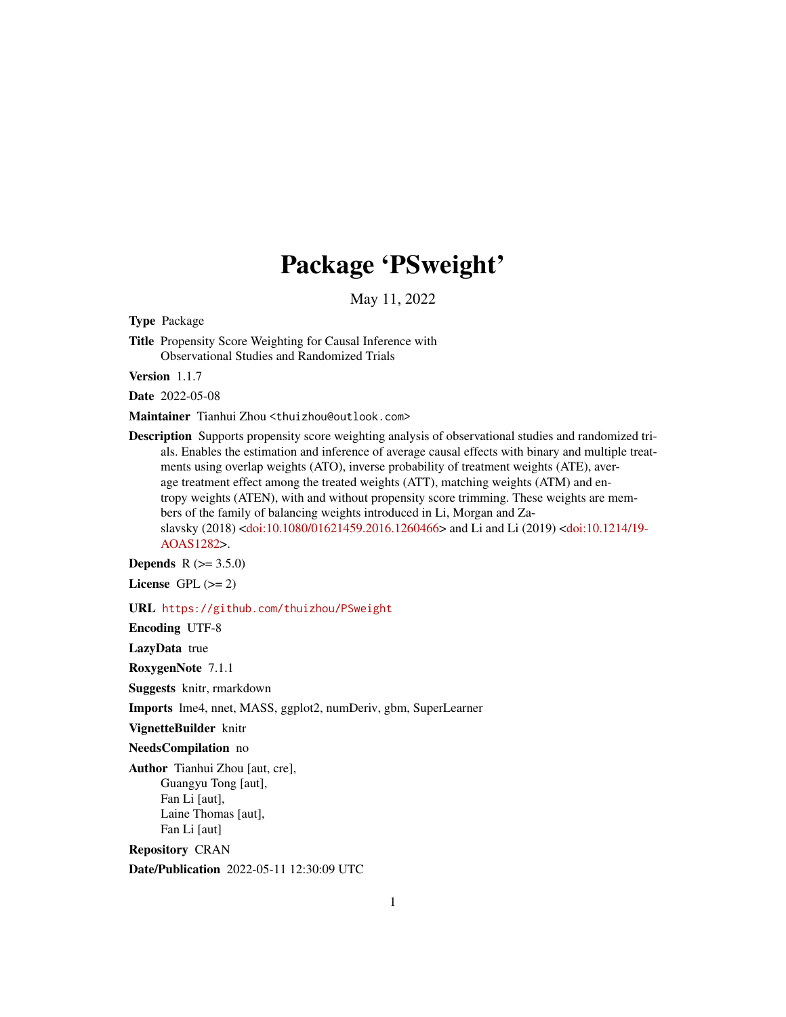# Package 'PSweight'

May 11, 2022

<span id="page-0-0"></span>Type Package

Title Propensity Score Weighting for Causal Inference with Observational Studies and Randomized Trials

Version 1.1.7

Date 2022-05-08

Maintainer Tianhui Zhou <thuizhou@outlook.com>

Description Supports propensity score weighting analysis of observational studies and randomized trials. Enables the estimation and inference of average causal effects with binary and multiple treatments using overlap weights (ATO), inverse probability of treatment weights (ATE), average treatment effect among the treated weights (ATT), matching weights (ATM) and entropy weights (ATEN), with and without propensity score trimming. These weights are members of the family of balancing weights introduced in Li, Morgan and Zaslavsky (2018) [<doi:10.1080/01621459.2016.1260466>](https://doi.org/10.1080/01621459.2016.1260466) and Li and Li (2019) [<doi:10.1214/19-](https://doi.org/10.1214/19-AOAS1282) [AOAS1282>](https://doi.org/10.1214/19-AOAS1282).

**Depends** R  $(>= 3.5.0)$ 

License GPL  $(>= 2)$ 

URL <https://github.com/thuizhou/PSweight>

Encoding UTF-8

LazyData true

RoxygenNote 7.1.1

Suggests knitr, rmarkdown

Imports lme4, nnet, MASS, ggplot2, numDeriv, gbm, SuperLearner

VignetteBuilder knitr

NeedsCompilation no

Author Tianhui Zhou [aut, cre], Guangyu Tong [aut], Fan Li [aut], Laine Thomas [aut], Fan Li [aut]

Repository CRAN

Date/Publication 2022-05-11 12:30:09 UTC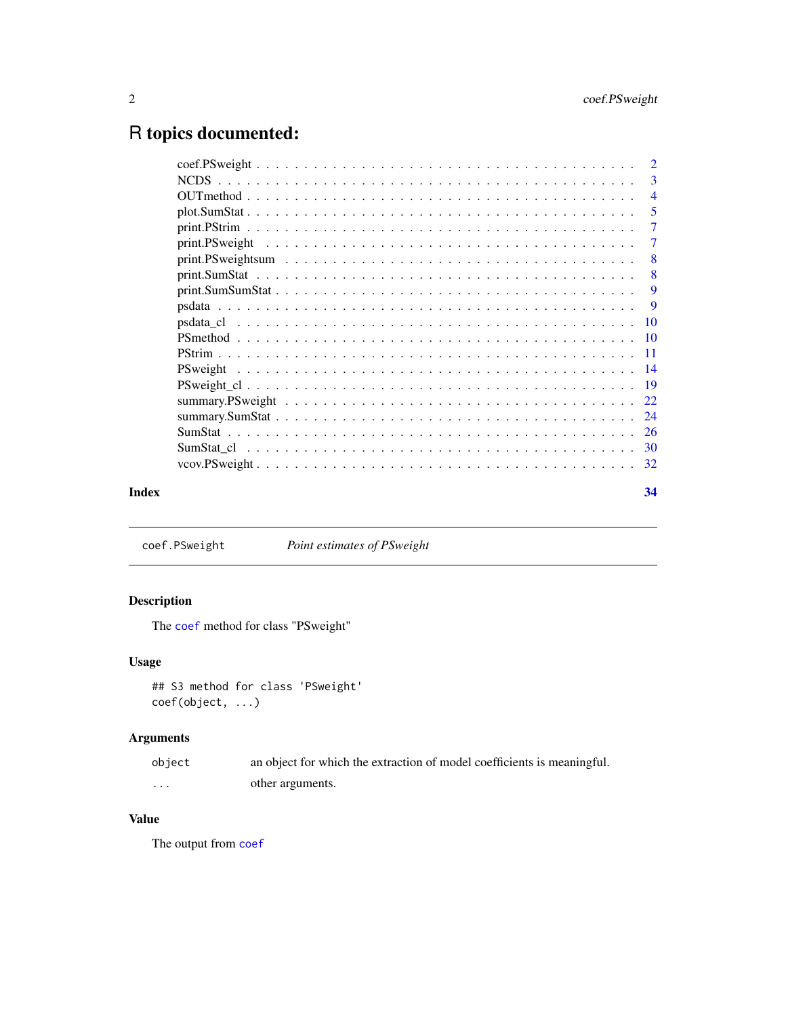## <span id="page-1-0"></span>R topics documented:

|       |                                                                                                         | $\overline{4}$ |
|-------|---------------------------------------------------------------------------------------------------------|----------------|
|       |                                                                                                         | $\overline{5}$ |
|       |                                                                                                         | $\overline{7}$ |
|       |                                                                                                         | -7             |
|       | $print.PSweightsum \ldots \ldots \ldots \ldots \ldots \ldots \ldots \ldots \ldots \ldots \ldots \ldots$ | - 8            |
|       |                                                                                                         |                |
|       |                                                                                                         |                |
|       |                                                                                                         |                |
|       |                                                                                                         |                |
|       |                                                                                                         |                |
|       |                                                                                                         |                |
|       |                                                                                                         |                |
|       |                                                                                                         |                |
|       |                                                                                                         |                |
|       |                                                                                                         |                |
|       |                                                                                                         |                |
|       |                                                                                                         |                |
|       |                                                                                                         |                |
| Index |                                                                                                         | 34             |

coef.PSweight *Point estimates of PSweight*

#### Description

The [coef](#page-0-0) method for class "PSweight"

#### Usage

```
## S3 method for class 'PSweight'
coef(object, ...)
```
#### Arguments

| object   | an object for which the extraction of model coefficients is meaningful. |
|----------|-------------------------------------------------------------------------|
| $\cdots$ | other arguments.                                                        |

#### Value

The output from [coef](#page-0-0)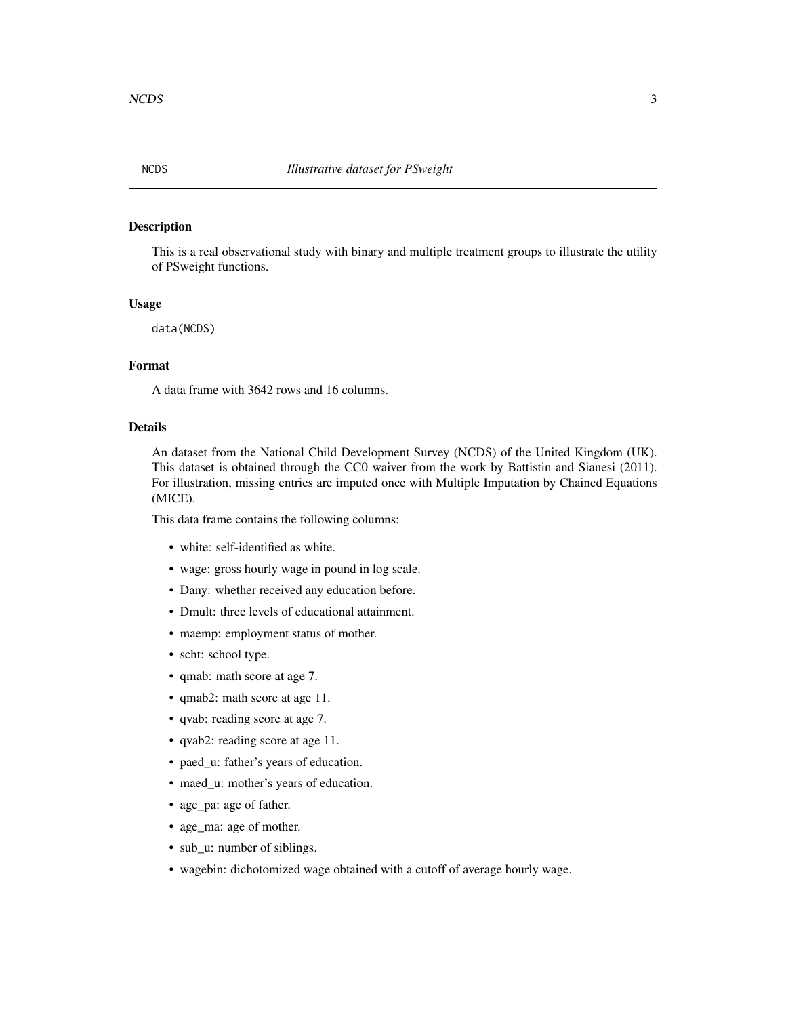<span id="page-2-0"></span>

#### Description

This is a real observational study with binary and multiple treatment groups to illustrate the utility of PSweight functions.

#### Usage

data(NCDS)

#### Format

A data frame with 3642 rows and 16 columns.

#### Details

An dataset from the National Child Development Survey (NCDS) of the United Kingdom (UK). This dataset is obtained through the CC0 waiver from the work by Battistin and Sianesi (2011). For illustration, missing entries are imputed once with Multiple Imputation by Chained Equations (MICE).

This data frame contains the following columns:

- white: self-identified as white.
- wage: gross hourly wage in pound in log scale.
- Dany: whether received any education before.
- Dmult: three levels of educational attainment.
- maemp: employment status of mother.
- scht: school type.
- qmab: math score at age 7.
- qmab2: math score at age 11.
- qvab: reading score at age 7.
- qvab2: reading score at age 11.
- paed\_u: father's years of education.
- maed\_u: mother's years of education.
- age\_pa: age of father.
- age\_ma: age of mother.
- sub\_u: number of siblings.
- wagebin: dichotomized wage obtained with a cutoff of average hourly wage.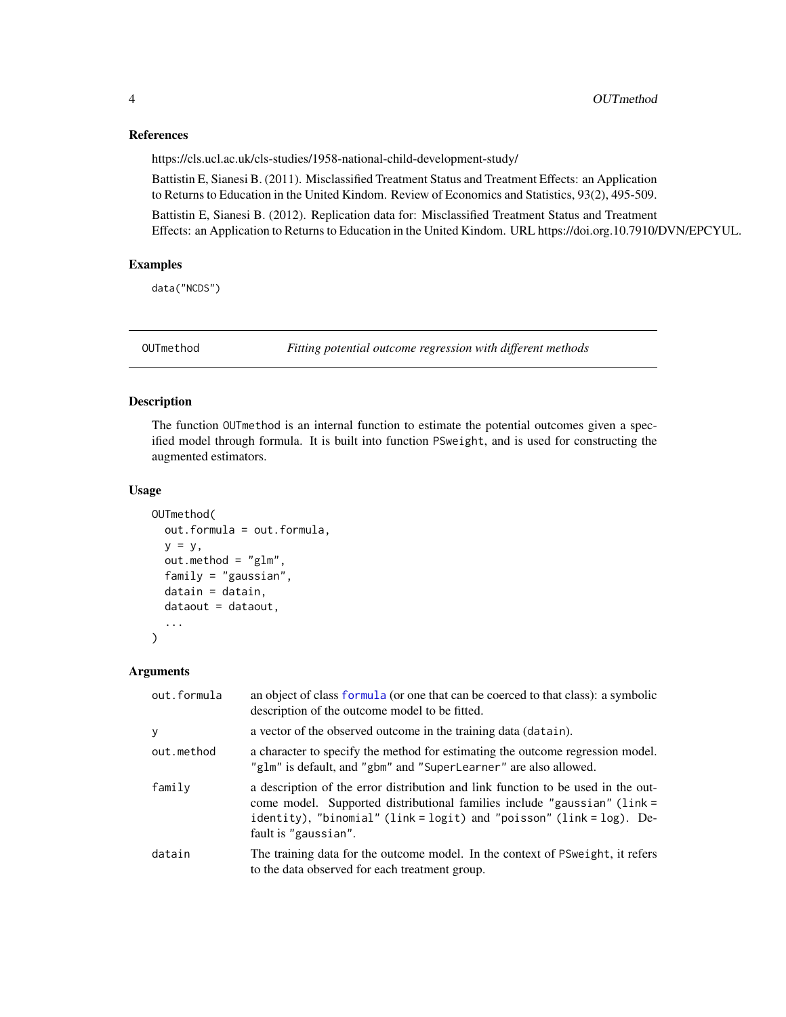#### References

https://cls.ucl.ac.uk/cls-studies/1958-national-child-development-study/

Battistin E, Sianesi B. (2011). Misclassified Treatment Status and Treatment Effects: an Application to Returns to Education in the United Kindom. Review of Economics and Statistics, 93(2), 495-509.

Battistin E, Sianesi B. (2012). Replication data for: Misclassified Treatment Status and Treatment Effects: an Application to Returns to Education in the United Kindom. URL https://doi.org.10.7910/DVN/EPCYUL.

#### Examples

data("NCDS")

OUTmethod *Fitting potential outcome regression with different methods*

#### Description

The function OUTmethod is an internal function to estimate the potential outcomes given a specified model through formula. It is built into function PSweight, and is used for constructing the augmented estimators.

#### Usage

```
OUTmethod(
 out.formula = out.formula,
 y = y,
 out.method = "glm",
  family = "gaussian",
  datain = datain,
  dataout = dataout,...
\lambda
```
#### Arguments

| out.formula | an object of class formula (or one that can be coerced to that class): a symbolic<br>description of the outcome model to be fitted.                                                                                                                          |
|-------------|--------------------------------------------------------------------------------------------------------------------------------------------------------------------------------------------------------------------------------------------------------------|
| У           | a vector of the observed outcome in the training data (datain).                                                                                                                                                                                              |
| out.method  | a character to specify the method for estimating the outcome regression model.<br>"glm" is default, and "gbm" and "SuperLearner" are also allowed.                                                                                                           |
| family      | a description of the error distribution and link function to be used in the out-<br>come model. Supported distributional families include "gaussian" (link =<br>identity), "binomial" (link = logit) and "poisson" (link = log). De-<br>fault is "gaussian". |
| datain      | The training data for the outcome model. In the context of PS weight, it refers<br>to the data observed for each treatment group.                                                                                                                            |

<span id="page-3-0"></span>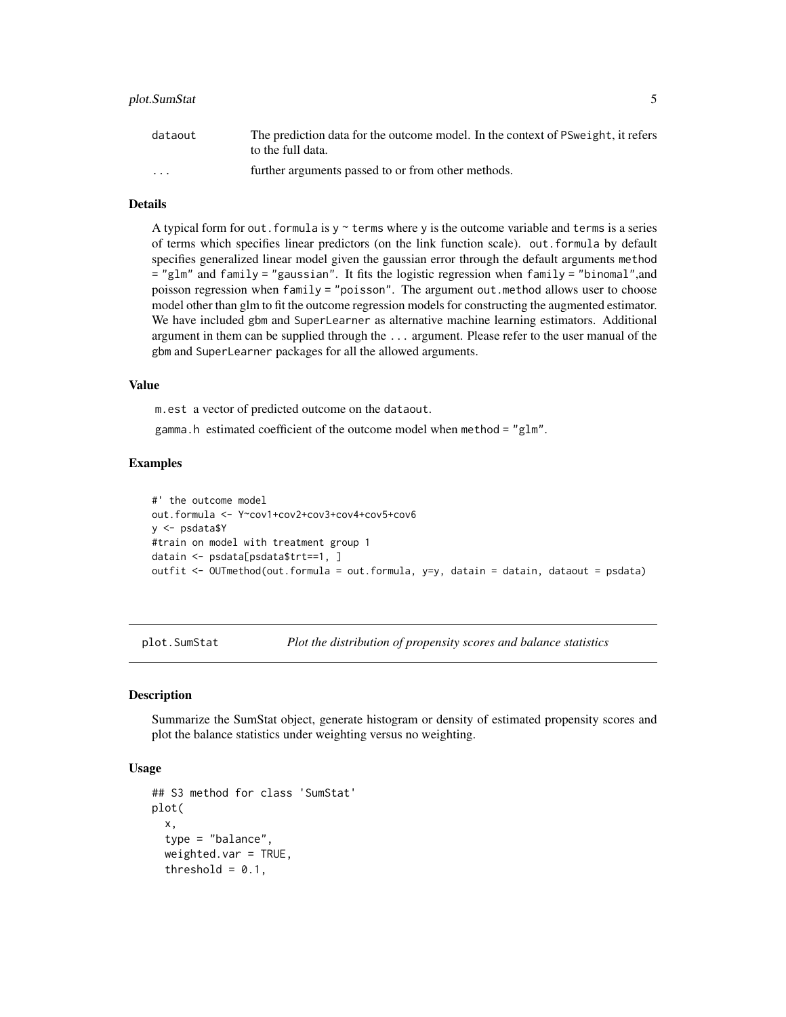#### <span id="page-4-0"></span>plot.SumStat 5

| dataout                 | The prediction data for the outcome model. In the context of PS weight, it refers<br>to the full data. |
|-------------------------|--------------------------------------------------------------------------------------------------------|
| $\cdot$ $\cdot$ $\cdot$ | further arguments passed to or from other methods.                                                     |

#### Details

A typical form for out. formula is  $y \sim$  terms where y is the outcome variable and terms is a series of terms which specifies linear predictors (on the link function scale). out.formula by default specifies generalized linear model given the gaussian error through the default arguments method = "glm" and family = "gaussian". It fits the logistic regression when family = "binomal",and poisson regression when family = "poisson". The argument out.method allows user to choose model other than glm to fit the outcome regression models for constructing the augmented estimator. We have included gbm and SuperLearner as alternative machine learning estimators. Additional argument in them can be supplied through the ... argument. Please refer to the user manual of the gbm and SuperLearner packages for all the allowed arguments.

#### Value

m.est a vector of predicted outcome on the dataout.

gamma.h estimated coefficient of the outcome model when method = "glm".

#### Examples

```
#' the outcome model
out.formula <- Y~cov1+cov2+cov3+cov4+cov5+cov6
y <- psdata$Y
#train on model with treatment group 1
datain <- psdata[psdata$trt==1, ]
outfit <- OUTmethod(out.formula = out.formula, y=y, datain = datain, dataout = psdata)
```
plot.SumStat *Plot the distribution of propensity scores and balance statistics*

#### **Description**

Summarize the SumStat object, generate histogram or density of estimated propensity scores and plot the balance statistics under weighting versus no weighting.

#### Usage

```
## S3 method for class 'SumStat'
plot(
  x,
  type = "balance",
  weighted.var = TRUE,
  threshold = 0.1,
```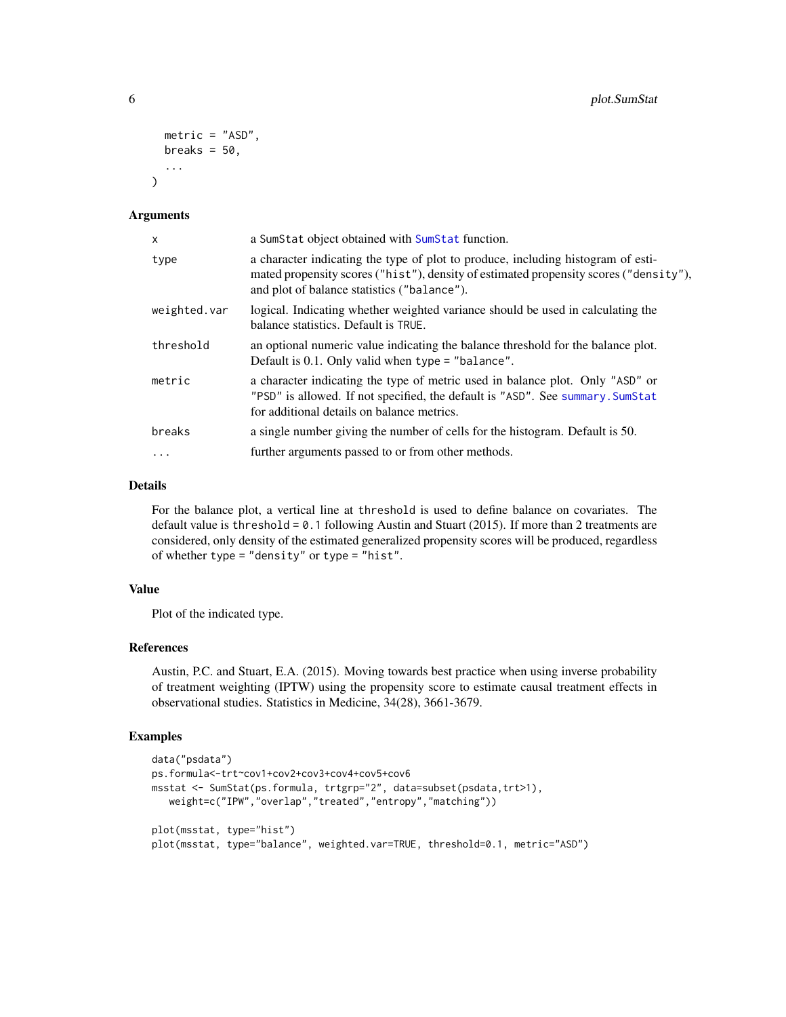```
metric = "ASD",
  breaks = 50,
  ...
\lambda
```
#### Arguments

| x            | a SumStat object obtained with SumStat function.                                                                                                                                                                         |
|--------------|--------------------------------------------------------------------------------------------------------------------------------------------------------------------------------------------------------------------------|
| type         | a character indicating the type of plot to produce, including histogram of esti-<br>mated propensity scores ("hist"), density of estimated propensity scores ("density"),<br>and plot of balance statistics ("balance"). |
| weighted.var | logical. Indicating whether weighted variance should be used in calculating the<br>balance statistics. Default is TRUE.                                                                                                  |
| threshold    | an optional numeric value indicating the balance threshold for the balance plot.<br>Default is $0.1$ . Only valid when type = "balance".                                                                                 |
| metric       | a character indicating the type of metric used in balance plot. Only "ASD" or<br>"PSD" is allowed. If not specified, the default is "ASD". See summary. SumStat<br>for additional details on balance metrics.            |
| breaks       | a single number giving the number of cells for the histogram. Default is 50.                                                                                                                                             |
| $\cdots$     | further arguments passed to or from other methods.                                                                                                                                                                       |

#### Details

For the balance plot, a vertical line at threshold is used to define balance on covariates. The default value is threshold =  $0.1$  following Austin and Stuart (2015). If more than 2 treatments are considered, only density of the estimated generalized propensity scores will be produced, regardless of whether type = "density" or type = "hist".

#### Value

Plot of the indicated type.

#### References

Austin, P.C. and Stuart, E.A. (2015). Moving towards best practice when using inverse probability of treatment weighting (IPTW) using the propensity score to estimate causal treatment effects in observational studies. Statistics in Medicine, 34(28), 3661-3679.

#### Examples

```
data("psdata")
ps.formula<-trt~cov1+cov2+cov3+cov4+cov5+cov6
msstat <- SumStat(ps.formula, trtgrp="2", data=subset(psdata,trt>1),
   weight=c("IPW","overlap","treated","entropy","matching"))
plot(msstat, type="hist")
plot(msstat, type="balance", weighted.var=TRUE, threshold=0.1, metric="ASD")
```
<span id="page-5-0"></span>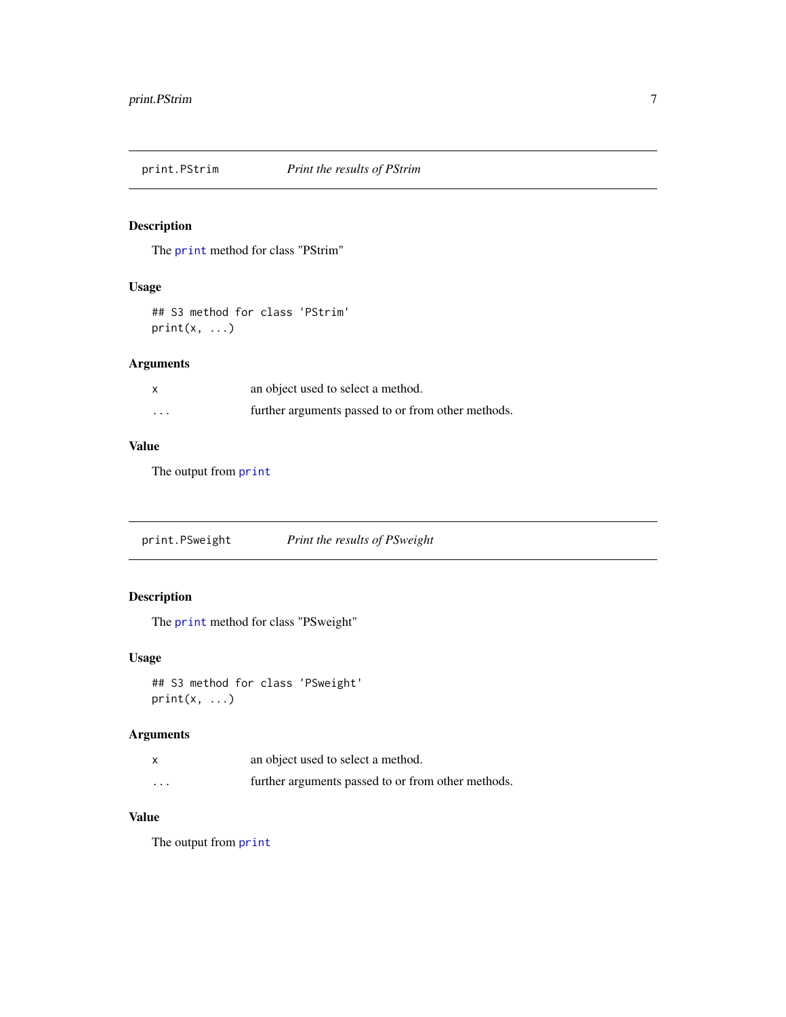<span id="page-6-0"></span>

#### Description

The [print](#page-0-0) method for class "PStrim"

#### Usage

## S3 method for class 'PStrim'  $print(x, \ldots)$ 

#### Arguments

| $\mathsf{x}$ | an object used to select a method.                 |
|--------------|----------------------------------------------------|
| $\cdots$     | further arguments passed to or from other methods. |

#### Value

The output from [print](#page-0-0)

print.PSweight *Print the results of PSweight*

#### Description

The [print](#page-0-0) method for class "PSweight"

#### Usage

```
## S3 method for class 'PSweight'
print(x, \ldots)
```
#### Arguments

|                         | an object used to select a method.                 |
|-------------------------|----------------------------------------------------|
| $\cdot$ $\cdot$ $\cdot$ | further arguments passed to or from other methods. |

#### Value

The output from [print](#page-0-0)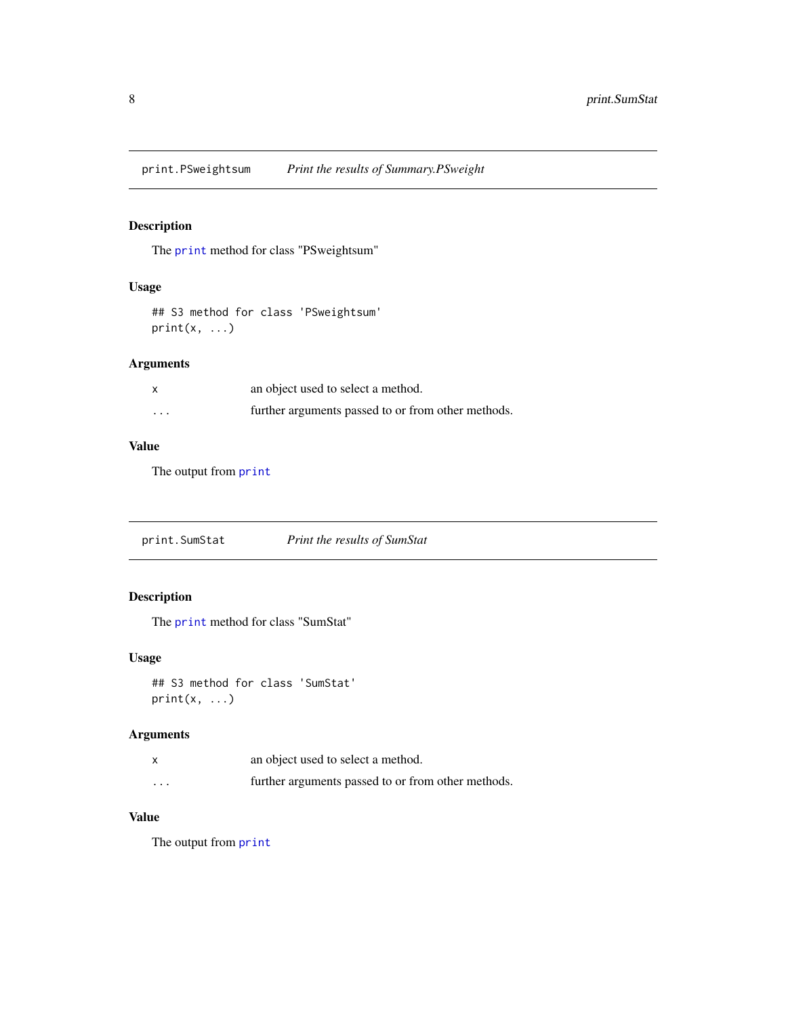<span id="page-7-0"></span>print.PSweightsum *Print the results of Summary.PSweight*

#### Description

The [print](#page-0-0) method for class "PSweightsum"

#### Usage

## S3 method for class 'PSweightsum'  $print(x, \ldots)$ 

#### Arguments

| $\mathsf{x}$ | an object used to select a method.                 |
|--------------|----------------------------------------------------|
| $\cdots$     | further arguments passed to or from other methods. |

#### Value

The output from [print](#page-0-0)

print.SumStat *Print the results of SumStat*

#### Description

The [print](#page-0-0) method for class "SumStat"

#### Usage

```
## S3 method for class 'SumStat'
print(x, \ldots)
```
#### Arguments

|                         | an object used to select a method.                 |
|-------------------------|----------------------------------------------------|
| $\cdot$ $\cdot$ $\cdot$ | further arguments passed to or from other methods. |

#### Value

The output from [print](#page-0-0)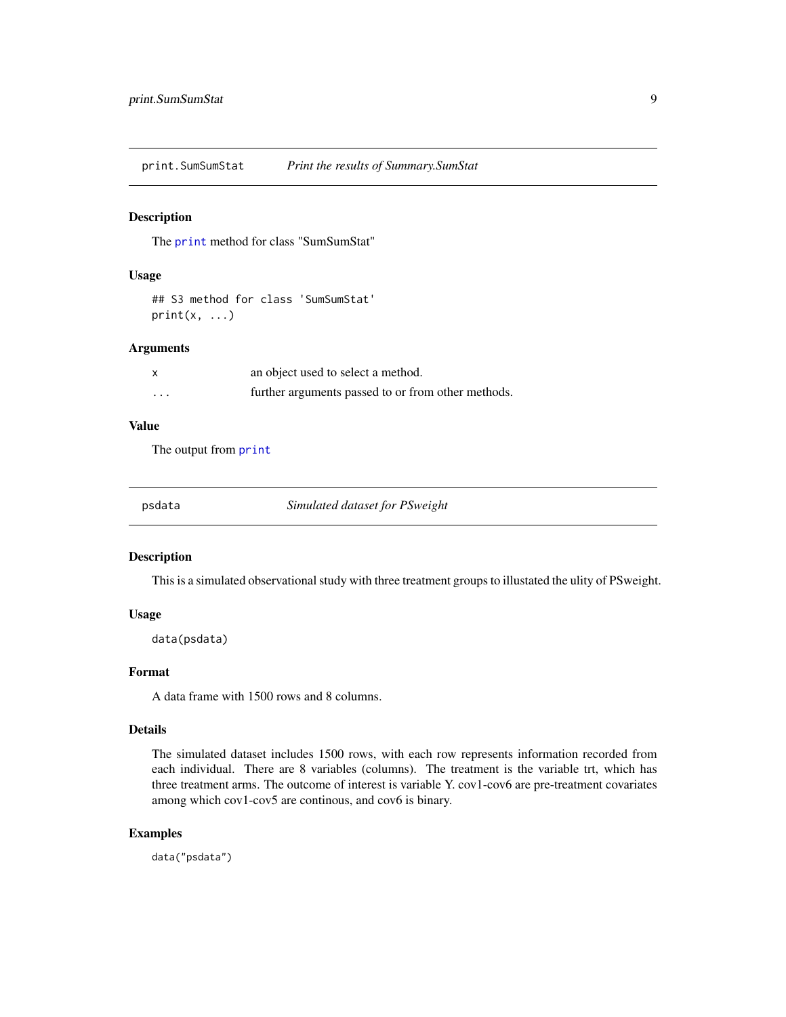<span id="page-8-0"></span>print.SumSumStat *Print the results of Summary.SumStat*

#### Description

The [print](#page-0-0) method for class "SumSumStat"

#### Usage

```
## S3 method for class 'SumSumStat'
print(x, \ldots)
```
#### Arguments

|   | an object used to select a method.                 |
|---|----------------------------------------------------|
| . | further arguments passed to or from other methods. |

#### Value

The output from [print](#page-0-0)

**Simulated dataset for PSweight** 

#### Description

This is a simulated observational study with three treatment groups to illustated the ulity of PSweight.

#### Usage

data(psdata)

#### Format

A data frame with 1500 rows and 8 columns.

#### Details

The simulated dataset includes 1500 rows, with each row represents information recorded from each individual. There are 8 variables (columns). The treatment is the variable trt, which has three treatment arms. The outcome of interest is variable Y. cov1-cov6 are pre-treatment covariates among which cov1-cov5 are continous, and cov6 is binary.

#### Examples

data("psdata")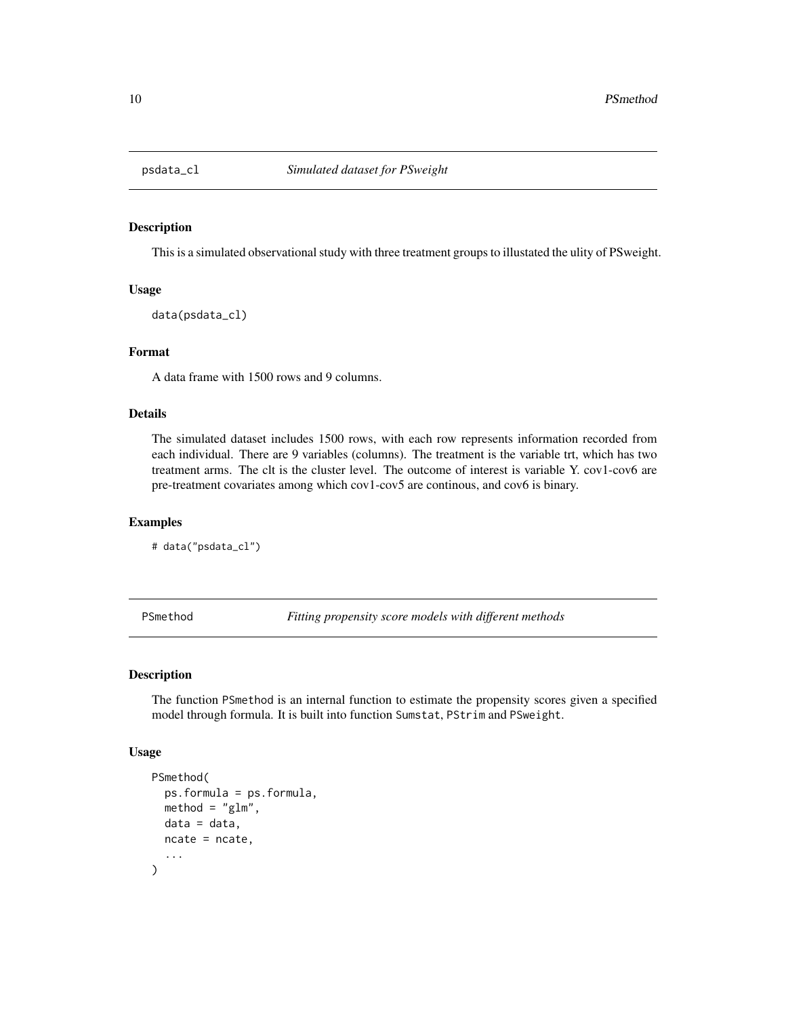<span id="page-9-0"></span>

#### Description

This is a simulated observational study with three treatment groups to illustated the ulity of PSweight.

#### Usage

data(psdata\_cl)

#### Format

A data frame with 1500 rows and 9 columns.

#### Details

The simulated dataset includes 1500 rows, with each row represents information recorded from each individual. There are 9 variables (columns). The treatment is the variable trt, which has two treatment arms. The clt is the cluster level. The outcome of interest is variable Y. cov1-cov6 are pre-treatment covariates among which cov1-cov5 are continous, and cov6 is binary.

#### Examples

# data("psdata\_cl")

PSmethod *Fitting propensity score models with different methods*

#### Description

The function PSmethod is an internal function to estimate the propensity scores given a specified model through formula. It is built into function Sumstat, PStrim and PSweight.

#### Usage

```
PSmethod(
 ps.formula = ps.formula,
 method = "g1m",
 data = data,ncate = ncate,
  ...
)
```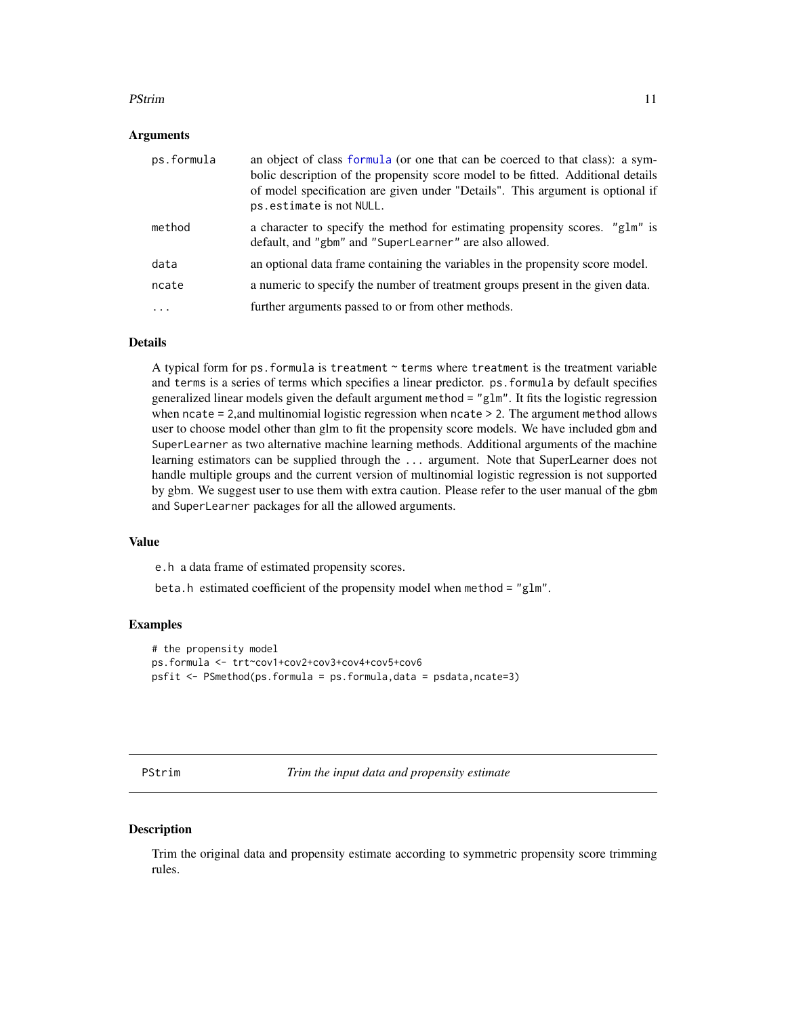#### <span id="page-10-0"></span>PStrim and the contract of the contract of the contract of the contract of the contract of the contract of the contract of the contract of the contract of the contract of the contract of the contract of the contract of the

#### Arguments

| ps.formula | an object of class formula (or one that can be coerced to that class): a sym-<br>bolic description of the propensity score model to be fitted. Additional details<br>of model specification are given under "Details". This argument is optional if<br>ps.estimate is not NULL. |
|------------|---------------------------------------------------------------------------------------------------------------------------------------------------------------------------------------------------------------------------------------------------------------------------------|
| method     | a character to specify the method for estimating propensity scores. "glm" is<br>default, and "gbm" and "SuperLearner" are also allowed.                                                                                                                                         |
| data       | an optional data frame containing the variables in the propensity score model.                                                                                                                                                                                                  |
| ncate      | a numeric to specify the number of treatment groups present in the given data.                                                                                                                                                                                                  |
| $\ddots$   | further arguments passed to or from other methods.                                                                                                                                                                                                                              |

#### Details

A typical form for ps.formula is treatment ~ terms where treatment is the treatment variable and terms is a series of terms which specifies a linear predictor. ps.formula by default specifies generalized linear models given the default argument method = "glm". It fits the logistic regression when ncate = 2, and multinomial logistic regression when ncate > 2. The argument method allows user to choose model other than glm to fit the propensity score models. We have included gbm and SuperLearner as two alternative machine learning methods. Additional arguments of the machine learning estimators can be supplied through the ... argument. Note that SuperLearner does not handle multiple groups and the current version of multinomial logistic regression is not supported by gbm. We suggest user to use them with extra caution. Please refer to the user manual of the gbm and SuperLearner packages for all the allowed arguments.

#### Value

e.h a data frame of estimated propensity scores.

beta.h estimated coefficient of the propensity model when method = "glm".

#### Examples

```
# the propensity model
ps.formula <- trt~cov1+cov2+cov3+cov4+cov5+cov6
psfit <- PSmethod(ps.formula = ps.formula,data = psdata,ncate=3)
```
PStrim *Trim the input data and propensity estimate*

#### Description

Trim the original data and propensity estimate according to symmetric propensity score trimming rules.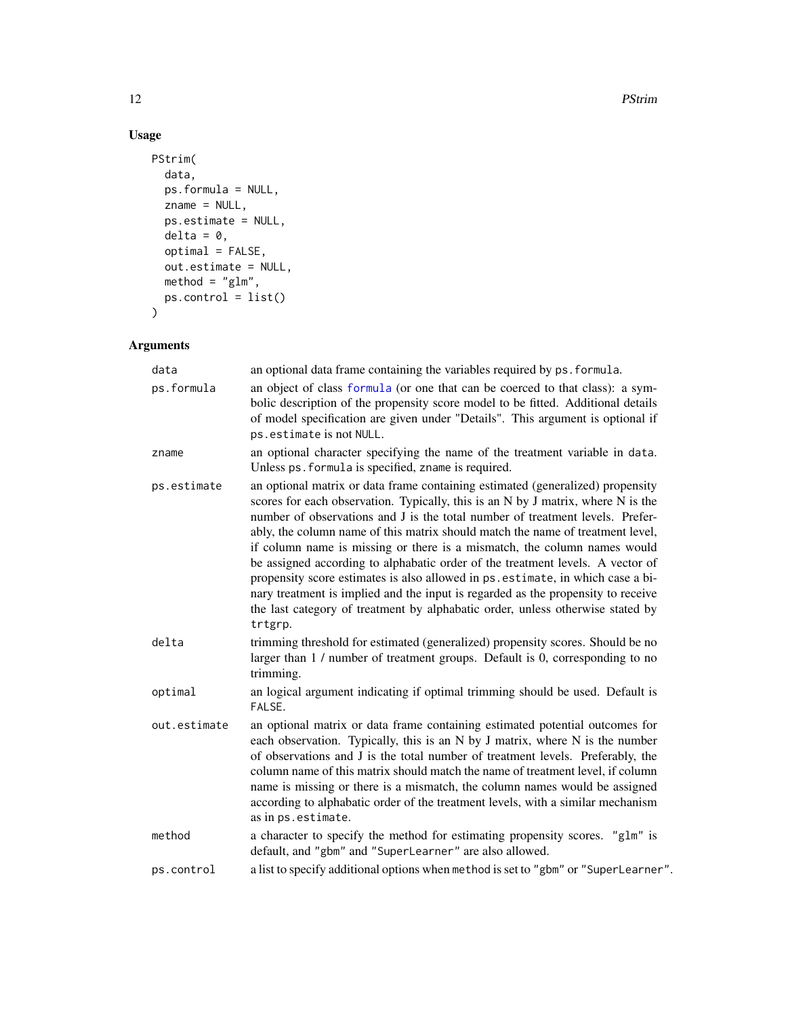#### Usage

```
PStrim(
  data,
  ps.formula = NULL,
  zname = NULL,
  ps.estimate = NULL,
  delta = 0,
  optimal = FALSE,
  out.estimate = NULL,
  \text{method} = "g1m",ps.control = list()
\mathcal{L}
```
#### Arguments

| data         | an optional data frame containing the variables required by ps. formula.                                                                                                                                                                                                                                                                                                                                                                                                                                                                                                                                                                                                                                                                                                |  |
|--------------|-------------------------------------------------------------------------------------------------------------------------------------------------------------------------------------------------------------------------------------------------------------------------------------------------------------------------------------------------------------------------------------------------------------------------------------------------------------------------------------------------------------------------------------------------------------------------------------------------------------------------------------------------------------------------------------------------------------------------------------------------------------------------|--|
| ps.formula   | an object of class formula (or one that can be coerced to that class): a sym-<br>bolic description of the propensity score model to be fitted. Additional details<br>of model specification are given under "Details". This argument is optional if<br>ps.estimate is not NULL.                                                                                                                                                                                                                                                                                                                                                                                                                                                                                         |  |
| zname        | an optional character specifying the name of the treatment variable in data.<br>Unless ps. formula is specified, zname is required.                                                                                                                                                                                                                                                                                                                                                                                                                                                                                                                                                                                                                                     |  |
| ps.estimate  | an optional matrix or data frame containing estimated (generalized) propensity<br>scores for each observation. Typically, this is an N by J matrix, where N is the<br>number of observations and J is the total number of treatment levels. Prefer-<br>ably, the column name of this matrix should match the name of treatment level,<br>if column name is missing or there is a mismatch, the column names would<br>be assigned according to alphabatic order of the treatment levels. A vector of<br>propensity score estimates is also allowed in ps. estimate, in which case a bi-<br>nary treatment is implied and the input is regarded as the propensity to receive<br>the last category of treatment by alphabatic order, unless otherwise stated by<br>trtgrp. |  |
| delta        | trimming threshold for estimated (generalized) propensity scores. Should be no<br>larger than 1 / number of treatment groups. Default is 0, corresponding to no<br>trimming.                                                                                                                                                                                                                                                                                                                                                                                                                                                                                                                                                                                            |  |
| optimal      | an logical argument indicating if optimal trimming should be used. Default is<br>FALSE.                                                                                                                                                                                                                                                                                                                                                                                                                                                                                                                                                                                                                                                                                 |  |
| out.estimate | an optional matrix or data frame containing estimated potential outcomes for<br>each observation. Typically, this is an N by J matrix, where N is the number<br>of observations and J is the total number of treatment levels. Preferably, the<br>column name of this matrix should match the name of treatment level, if column<br>name is missing or there is a mismatch, the column names would be assigned<br>according to alphabatic order of the treatment levels, with a similar mechanism<br>as in ps. estimate.                                                                                                                                                                                                                                                |  |
| method       | a character to specify the method for estimating propensity scores. "glm" is<br>default, and "gbm" and "SuperLearner" are also allowed.                                                                                                                                                                                                                                                                                                                                                                                                                                                                                                                                                                                                                                 |  |
| ps.control   | a list to specify additional options when method is set to "gbm" or "SuperLearner".                                                                                                                                                                                                                                                                                                                                                                                                                                                                                                                                                                                                                                                                                     |  |

<span id="page-11-0"></span>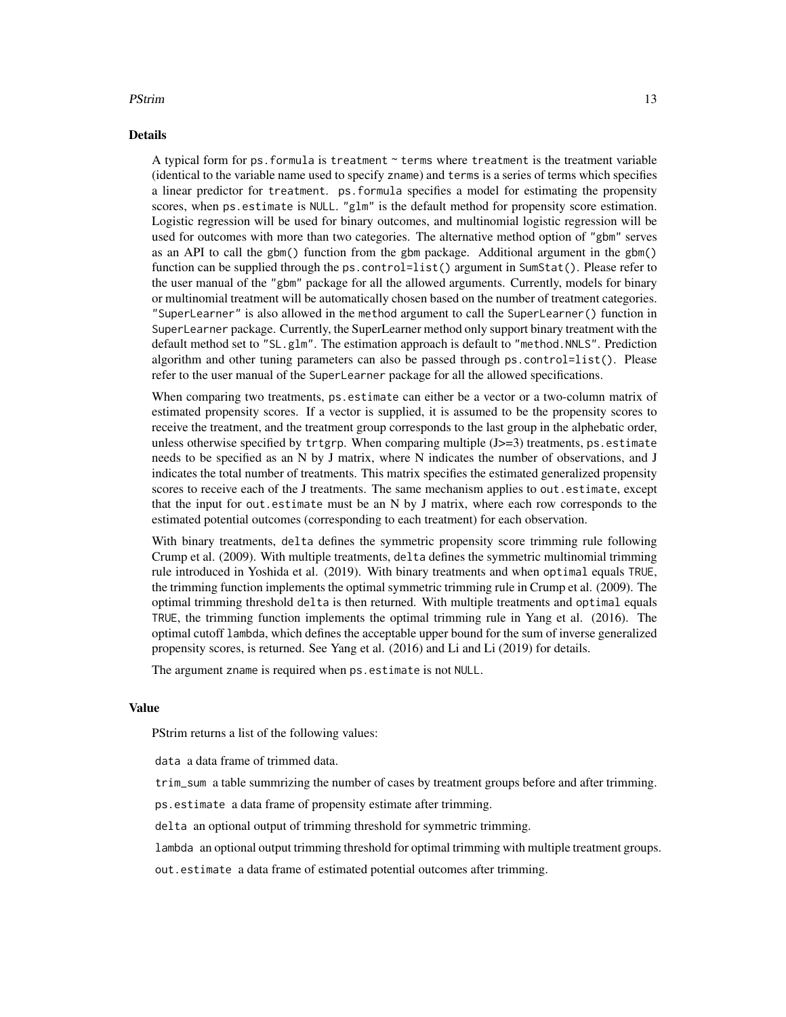#### PStrim 23

#### Details

A typical form for ps.formula is treatment ~ terms where treatment is the treatment variable (identical to the variable name used to specify zname) and terms is a series of terms which specifies a linear predictor for treatment. ps.formula specifies a model for estimating the propensity scores, when ps.estimate is NULL. "glm" is the default method for propensity score estimation. Logistic regression will be used for binary outcomes, and multinomial logistic regression will be used for outcomes with more than two categories. The alternative method option of "gbm" serves as an API to call the gbm() function from the gbm package. Additional argument in the gbm() function can be supplied through the ps. control=list() argument in SumStat(). Please refer to the user manual of the "gbm" package for all the allowed arguments. Currently, models for binary or multinomial treatment will be automatically chosen based on the number of treatment categories. "SuperLearner" is also allowed in the method argument to call the SuperLearner() function in SuperLearner package. Currently, the SuperLearner method only support binary treatment with the default method set to "SL.glm". The estimation approach is default to "method.NNLS". Prediction algorithm and other tuning parameters can also be passed through ps.control=list(). Please refer to the user manual of the SuperLearner package for all the allowed specifications.

When comparing two treatments, ps.estimate can either be a vector or a two-column matrix of estimated propensity scores. If a vector is supplied, it is assumed to be the propensity scores to receive the treatment, and the treatment group corresponds to the last group in the alphebatic order, unless otherwise specified by  $trtgrp$ . When comparing multiple  $(J>=3)$  treatments, ps.estimate needs to be specified as an N by J matrix, where N indicates the number of observations, and J indicates the total number of treatments. This matrix specifies the estimated generalized propensity scores to receive each of the J treatments. The same mechanism applies to out. estimate, except that the input for out.estimate must be an N by J matrix, where each row corresponds to the estimated potential outcomes (corresponding to each treatment) for each observation.

With binary treatments, delta defines the symmetric propensity score trimming rule following Crump et al. (2009). With multiple treatments, delta defines the symmetric multinomial trimming rule introduced in Yoshida et al. (2019). With binary treatments and when optimal equals TRUE, the trimming function implements the optimal symmetric trimming rule in Crump et al. (2009). The optimal trimming threshold delta is then returned. With multiple treatments and optimal equals TRUE, the trimming function implements the optimal trimming rule in Yang et al. (2016). The optimal cutoff lambda, which defines the acceptable upper bound for the sum of inverse generalized propensity scores, is returned. See Yang et al. (2016) and Li and Li (2019) for details.

The argument zname is required when ps.estimate is not NULL.

#### Value

PStrim returns a list of the following values:

data a data frame of trimmed data.

trim\_sum a table summrizing the number of cases by treatment groups before and after trimming.

ps.estimate a data frame of propensity estimate after trimming.

delta an optional output of trimming threshold for symmetric trimming.

lambda an optional output trimming threshold for optimal trimming with multiple treatment groups.

out.estimate a data frame of estimated potential outcomes after trimming.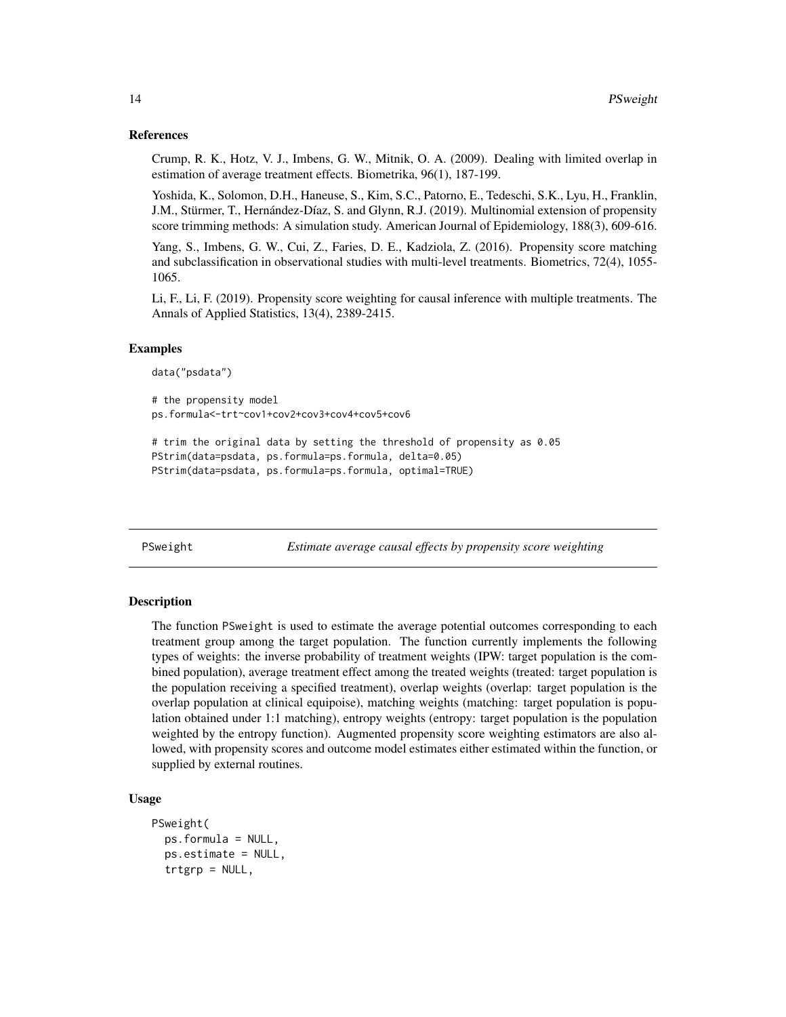#### References

Crump, R. K., Hotz, V. J., Imbens, G. W., Mitnik, O. A. (2009). Dealing with limited overlap in estimation of average treatment effects. Biometrika, 96(1), 187-199.

Yoshida, K., Solomon, D.H., Haneuse, S., Kim, S.C., Patorno, E., Tedeschi, S.K., Lyu, H., Franklin, J.M., Stürmer, T., Hernández-Díaz, S. and Glynn, R.J. (2019). Multinomial extension of propensity score trimming methods: A simulation study. American Journal of Epidemiology, 188(3), 609-616.

Yang, S., Imbens, G. W., Cui, Z., Faries, D. E., Kadziola, Z. (2016). Propensity score matching and subclassification in observational studies with multi-level treatments. Biometrics, 72(4), 1055- 1065.

Li, F., Li, F. (2019). Propensity score weighting for causal inference with multiple treatments. The Annals of Applied Statistics, 13(4), 2389-2415.

#### Examples

```
data("psdata")
# the propensity model
ps.formula<-trt~cov1+cov2+cov3+cov4+cov5+cov6
```

```
# trim the original data by setting the threshold of propensity as 0.05
PStrim(data=psdata, ps.formula=ps.formula, delta=0.05)
PStrim(data=psdata, ps.formula=ps.formula, optimal=TRUE)
```
<span id="page-13-1"></span>PSweight *Estimate average causal effects by propensity score weighting*

#### **Description**

The function PSweight is used to estimate the average potential outcomes corresponding to each treatment group among the target population. The function currently implements the following types of weights: the inverse probability of treatment weights (IPW: target population is the combined population), average treatment effect among the treated weights (treated: target population is the population receiving a specified treatment), overlap weights (overlap: target population is the overlap population at clinical equipoise), matching weights (matching: target population is population obtained under 1:1 matching), entropy weights (entropy: target population is the population weighted by the entropy function). Augmented propensity score weighting estimators are also allowed, with propensity scores and outcome model estimates either estimated within the function, or supplied by external routines.

#### Usage

```
PSweight(
  ps.formula = NULL,
  ps.estimate = NULL,
  trtgrp = NULL,
```
<span id="page-13-0"></span>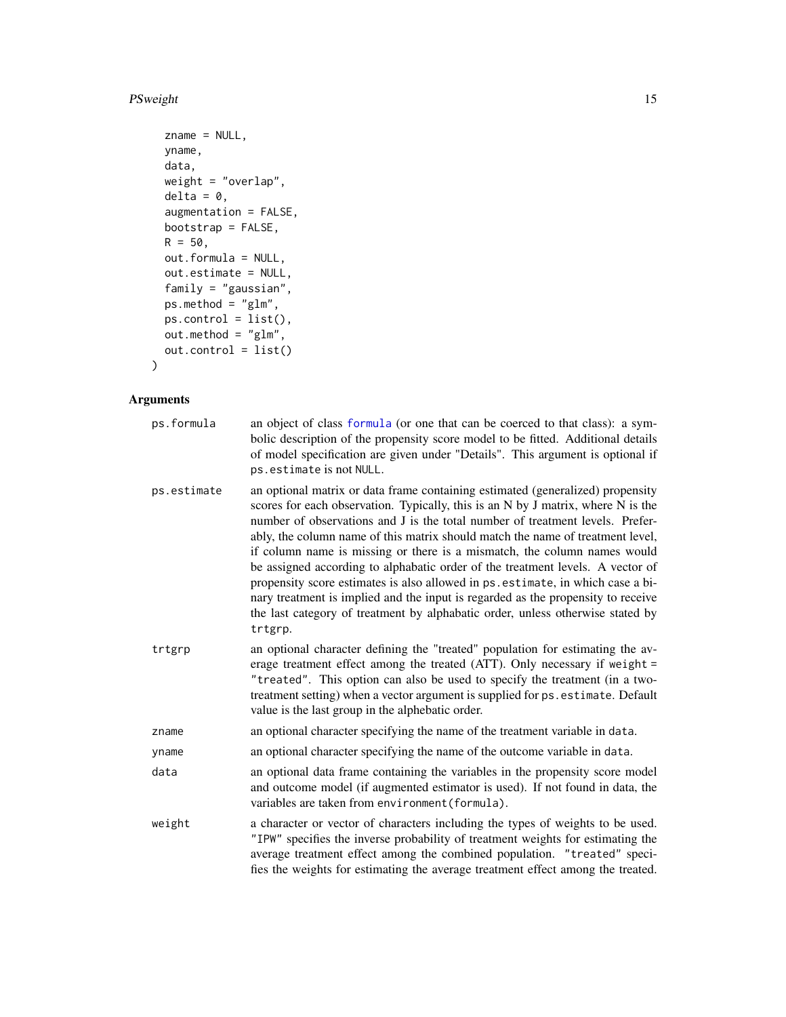#### <span id="page-14-0"></span>PSweight 15

```
zname = NULL,
yname,
data,
weight = "overlap",
delta = 0,
augmentation = FALSE,
bootstrap = FALSE,
R = 50,
out.formula = NULL,
out.estimate = NULL,
family = "gaussian",
ps.method = "glm",
ps.control = list(),
out.method = "glm",
out.control = list()
```

```
)
```
#### Arguments

| ps.formula  | an object of class formula (or one that can be coerced to that class): a sym-<br>bolic description of the propensity score model to be fitted. Additional details<br>of model specification are given under "Details". This argument is optional if<br>ps.estimate is not NULL.                                                                                                                                                                                                                                                                                                                                                                                                                                                                                         |  |
|-------------|-------------------------------------------------------------------------------------------------------------------------------------------------------------------------------------------------------------------------------------------------------------------------------------------------------------------------------------------------------------------------------------------------------------------------------------------------------------------------------------------------------------------------------------------------------------------------------------------------------------------------------------------------------------------------------------------------------------------------------------------------------------------------|--|
| ps.estimate | an optional matrix or data frame containing estimated (generalized) propensity<br>scores for each observation. Typically, this is an N by J matrix, where N is the<br>number of observations and J is the total number of treatment levels. Prefer-<br>ably, the column name of this matrix should match the name of treatment level,<br>if column name is missing or there is a mismatch, the column names would<br>be assigned according to alphabatic order of the treatment levels. A vector of<br>propensity score estimates is also allowed in ps. estimate, in which case a bi-<br>nary treatment is implied and the input is regarded as the propensity to receive<br>the last category of treatment by alphabatic order, unless otherwise stated by<br>trtgrp. |  |
| trtgrp      | an optional character defining the "treated" population for estimating the av-<br>erage treatment effect among the treated (ATT). Only necessary if weight =<br>"treated". This option can also be used to specify the treatment (in a two-<br>treatment setting) when a vector argument is supplied for ps. estimate. Default<br>value is the last group in the alphebatic order.                                                                                                                                                                                                                                                                                                                                                                                      |  |
| zname       | an optional character specifying the name of the treatment variable in data.                                                                                                                                                                                                                                                                                                                                                                                                                                                                                                                                                                                                                                                                                            |  |
| yname       | an optional character specifying the name of the outcome variable in data.                                                                                                                                                                                                                                                                                                                                                                                                                                                                                                                                                                                                                                                                                              |  |
| data        | an optional data frame containing the variables in the propensity score model<br>and outcome model (if augmented estimator is used). If not found in data, the<br>variables are taken from environment (formula).                                                                                                                                                                                                                                                                                                                                                                                                                                                                                                                                                       |  |
| weight      | a character or vector of characters including the types of weights to be used.<br>"IPW" specifies the inverse probability of treatment weights for estimating the<br>average treatment effect among the combined population. "treated" speci-<br>fies the weights for estimating the average treatment effect among the treated.                                                                                                                                                                                                                                                                                                                                                                                                                                        |  |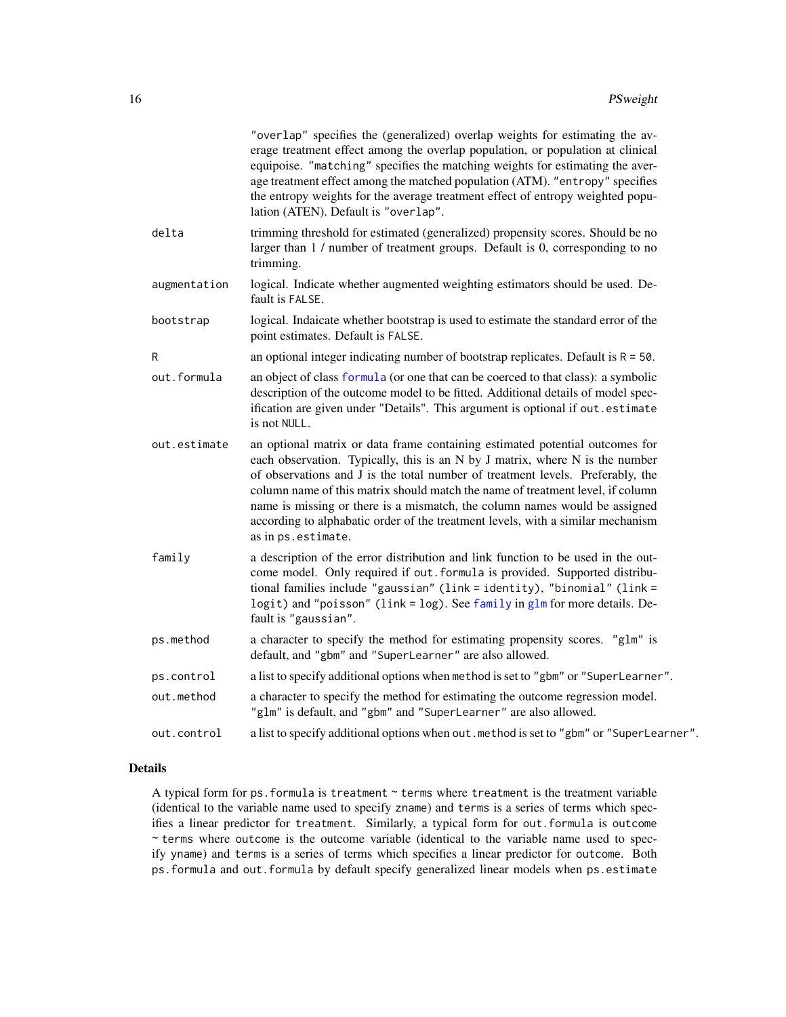<span id="page-15-0"></span>

|              | "overlap" specifies the (generalized) overlap weights for estimating the av-<br>erage treatment effect among the overlap population, or population at clinical<br>equipoise. "matching" specifies the matching weights for estimating the aver-<br>age treatment effect among the matched population (ATM). "entropy" specifies<br>the entropy weights for the average treatment effect of entropy weighted popu-<br>lation (ATEN). Default is "overlap".                                                               |
|--------------|-------------------------------------------------------------------------------------------------------------------------------------------------------------------------------------------------------------------------------------------------------------------------------------------------------------------------------------------------------------------------------------------------------------------------------------------------------------------------------------------------------------------------|
| delta        | trimming threshold for estimated (generalized) propensity scores. Should be no<br>larger than 1 / number of treatment groups. Default is 0, corresponding to no<br>trimming.                                                                                                                                                                                                                                                                                                                                            |
| augmentation | logical. Indicate whether augmented weighting estimators should be used. De-<br>fault is FALSE.                                                                                                                                                                                                                                                                                                                                                                                                                         |
| bootstrap    | logical. Indaicate whether bootstrap is used to estimate the standard error of the<br>point estimates. Default is FALSE.                                                                                                                                                                                                                                                                                                                                                                                                |
| R            | an optional integer indicating number of bootstrap replicates. Default is $R = 50$ .                                                                                                                                                                                                                                                                                                                                                                                                                                    |
| out.formula  | an object of class formula (or one that can be coerced to that class): a symbolic<br>description of the outcome model to be fitted. Additional details of model spec-<br>ification are given under "Details". This argument is optional if out.estimate<br>is not NULL.                                                                                                                                                                                                                                                 |
| out.estimate | an optional matrix or data frame containing estimated potential outcomes for<br>each observation. Typically, this is an N by J matrix, where N is the number<br>of observations and J is the total number of treatment levels. Preferably, the<br>column name of this matrix should match the name of treatment level, if column<br>name is missing or there is a mismatch, the column names would be assigned<br>according to alphabatic order of the treatment levels, with a similar mechanism<br>as in ps.estimate. |
| family       | a description of the error distribution and link function to be used in the out-<br>come model. Only required if out formula is provided. Supported distribu-<br>tional families include "gaussian" (link = identity), "binomial" (link =<br>logit) and "poisson" (link = log). See family in glm for more details. De-<br>fault is "gaussian".                                                                                                                                                                         |
| ps.method    | a character to specify the method for estimating propensity scores. "glm" is<br>default, and "gbm" and "SuperLearner" are also allowed.                                                                                                                                                                                                                                                                                                                                                                                 |
| ps.control   | a list to specify additional options when method is set to "gbm" or "SuperLearner".                                                                                                                                                                                                                                                                                                                                                                                                                                     |
| out.method   | a character to specify the method for estimating the outcome regression model.<br>"glm" is default, and "gbm" and "SuperLearner" are also allowed.                                                                                                                                                                                                                                                                                                                                                                      |
| out.control  | a list to specify additional options when out . method is set to "gbm" or "SuperLearner".                                                                                                                                                                                                                                                                                                                                                                                                                               |
|              |                                                                                                                                                                                                                                                                                                                                                                                                                                                                                                                         |

#### Details

A typical form for ps. formula is treatment  $\sim$  terms where treatment is the treatment variable (identical to the variable name used to specify zname) and terms is a series of terms which specifies a linear predictor for treatment. Similarly, a typical form for out.formula is outcome ~ terms where outcome is the outcome variable (identical to the variable name used to specify yname) and terms is a series of terms which specifies a linear predictor for outcome. Both ps.formula and out.formula by default specify generalized linear models when ps.estimate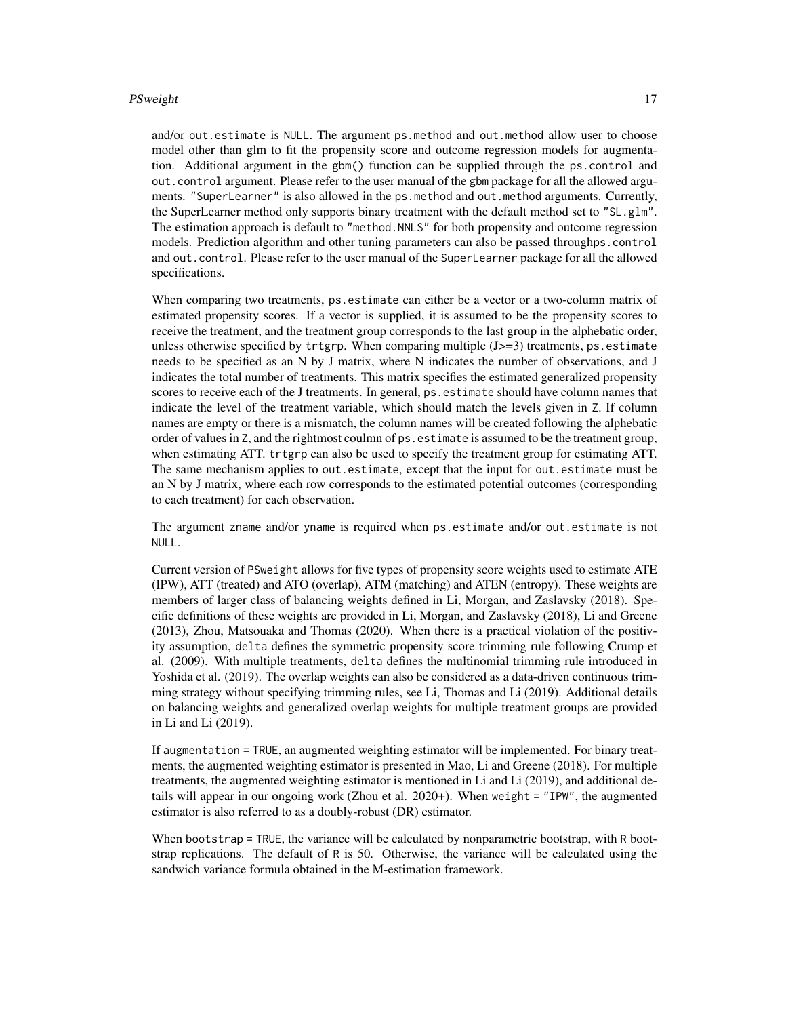#### PSweight 17

and/or out.estimate is NULL. The argument ps.method and out.method allow user to choose model other than glm to fit the propensity score and outcome regression models for augmentation. Additional argument in the gbm() function can be supplied through the ps.control and out.control argument. Please refer to the user manual of the gbm package for all the allowed arguments. "SuperLearner" is also allowed in the ps.method and out.method arguments. Currently, the SuperLearner method only supports binary treatment with the default method set to "SL.glm". The estimation approach is default to "method.NNLS" for both propensity and outcome regression models. Prediction algorithm and other tuning parameters can also be passed throughps.control and out.control. Please refer to the user manual of the SuperLearner package for all the allowed specifications.

When comparing two treatments, ps.estimate can either be a vector or a two-column matrix of estimated propensity scores. If a vector is supplied, it is assumed to be the propensity scores to receive the treatment, and the treatment group corresponds to the last group in the alphebatic order, unless otherwise specified by  $trtgrp$ . When comparing multiple  $(J>=3)$  treatments, ps.estimate needs to be specified as an N by J matrix, where N indicates the number of observations, and J indicates the total number of treatments. This matrix specifies the estimated generalized propensity scores to receive each of the J treatments. In general, ps. estimate should have column names that indicate the level of the treatment variable, which should match the levels given in Z. If column names are empty or there is a mismatch, the column names will be created following the alphebatic order of values in Z, and the rightmost coulmn of ps.estimate is assumed to be the treatment group, when estimating ATT. trtgrp can also be used to specify the treatment group for estimating ATT. The same mechanism applies to out.estimate, except that the input for out.estimate must be an N by J matrix, where each row corresponds to the estimated potential outcomes (corresponding to each treatment) for each observation.

The argument zname and/or yname is required when ps.estimate and/or out.estimate is not NULL.

Current version of PSweight allows for five types of propensity score weights used to estimate ATE (IPW), ATT (treated) and ATO (overlap), ATM (matching) and ATEN (entropy). These weights are members of larger class of balancing weights defined in Li, Morgan, and Zaslavsky (2018). Specific definitions of these weights are provided in Li, Morgan, and Zaslavsky (2018), Li and Greene (2013), Zhou, Matsouaka and Thomas (2020). When there is a practical violation of the positivity assumption, delta defines the symmetric propensity score trimming rule following Crump et al. (2009). With multiple treatments, delta defines the multinomial trimming rule introduced in Yoshida et al. (2019). The overlap weights can also be considered as a data-driven continuous trimming strategy without specifying trimming rules, see Li, Thomas and Li (2019). Additional details on balancing weights and generalized overlap weights for multiple treatment groups are provided in Li and Li (2019).

If augmentation = TRUE, an augmented weighting estimator will be implemented. For binary treatments, the augmented weighting estimator is presented in Mao, Li and Greene (2018). For multiple treatments, the augmented weighting estimator is mentioned in Li and Li (2019), and additional details will appear in our ongoing work (Zhou et al. 2020+). When weight = "IPW", the augmented estimator is also referred to as a doubly-robust (DR) estimator.

When bootstrap = TRUE, the variance will be calculated by nonparametric bootstrap, with R bootstrap replications. The default of R is 50. Otherwise, the variance will be calculated using the sandwich variance formula obtained in the M-estimation framework.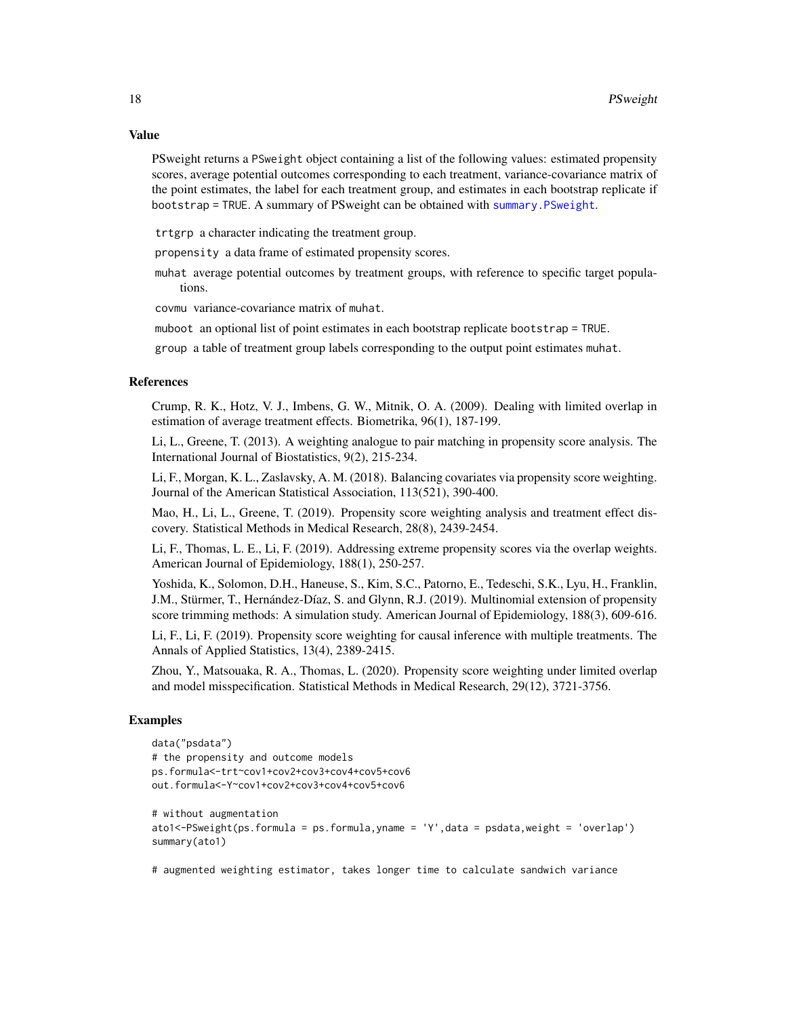<span id="page-17-0"></span>PSweight returns a PSweight object containing a list of the following values: estimated propensity scores, average potential outcomes corresponding to each treatment, variance-covariance matrix of the point estimates, the label for each treatment group, and estimates in each bootstrap replicate if bootstrap = TRUE. A summary of PSweight can be obtained with [summary.PSweight](#page-21-1).

trtgrp a character indicating the treatment group.

propensity a data frame of estimated propensity scores.

muhat average potential outcomes by treatment groups, with reference to specific target populations.

covmu variance-covariance matrix of muhat.

muboot an optional list of point estimates in each bootstrap replicate bootstrap = TRUE.

group a table of treatment group labels corresponding to the output point estimates muhat.

#### References

Crump, R. K., Hotz, V. J., Imbens, G. W., Mitnik, O. A. (2009). Dealing with limited overlap in estimation of average treatment effects. Biometrika, 96(1), 187-199.

Li, L., Greene, T. (2013). A weighting analogue to pair matching in propensity score analysis. The International Journal of Biostatistics, 9(2), 215-234.

Li, F., Morgan, K. L., Zaslavsky, A. M. (2018). Balancing covariates via propensity score weighting. Journal of the American Statistical Association, 113(521), 390-400.

Mao, H., Li, L., Greene, T. (2019). Propensity score weighting analysis and treatment effect discovery. Statistical Methods in Medical Research, 28(8), 2439-2454.

Li, F., Thomas, L. E., Li, F. (2019). Addressing extreme propensity scores via the overlap weights. American Journal of Epidemiology, 188(1), 250-257.

Yoshida, K., Solomon, D.H., Haneuse, S., Kim, S.C., Patorno, E., Tedeschi, S.K., Lyu, H., Franklin, J.M., Stürmer, T., Hernández-Díaz, S. and Glynn, R.J. (2019). Multinomial extension of propensity score trimming methods: A simulation study. American Journal of Epidemiology, 188(3), 609-616.

Li, F., Li, F. (2019). Propensity score weighting for causal inference with multiple treatments. The Annals of Applied Statistics, 13(4), 2389-2415.

Zhou, Y., Matsouaka, R. A., Thomas, L. (2020). Propensity score weighting under limited overlap and model misspecification. Statistical Methods in Medical Research, 29(12), 3721-3756.

#### Examples

```
data("psdata")
# the propensity and outcome models
ps.formula<-trt~cov1+cov2+cov3+cov4+cov5+cov6
out.formula<-Y~cov1+cov2+cov3+cov4+cov5+cov6
# without augmentation
ato1<-PSweight(ps.formula = ps.formula,yname = 'Y',data = psdata,weight = 'overlap')
summary(ato1)
```
# augmented weighting estimator, takes longer time to calculate sandwich variance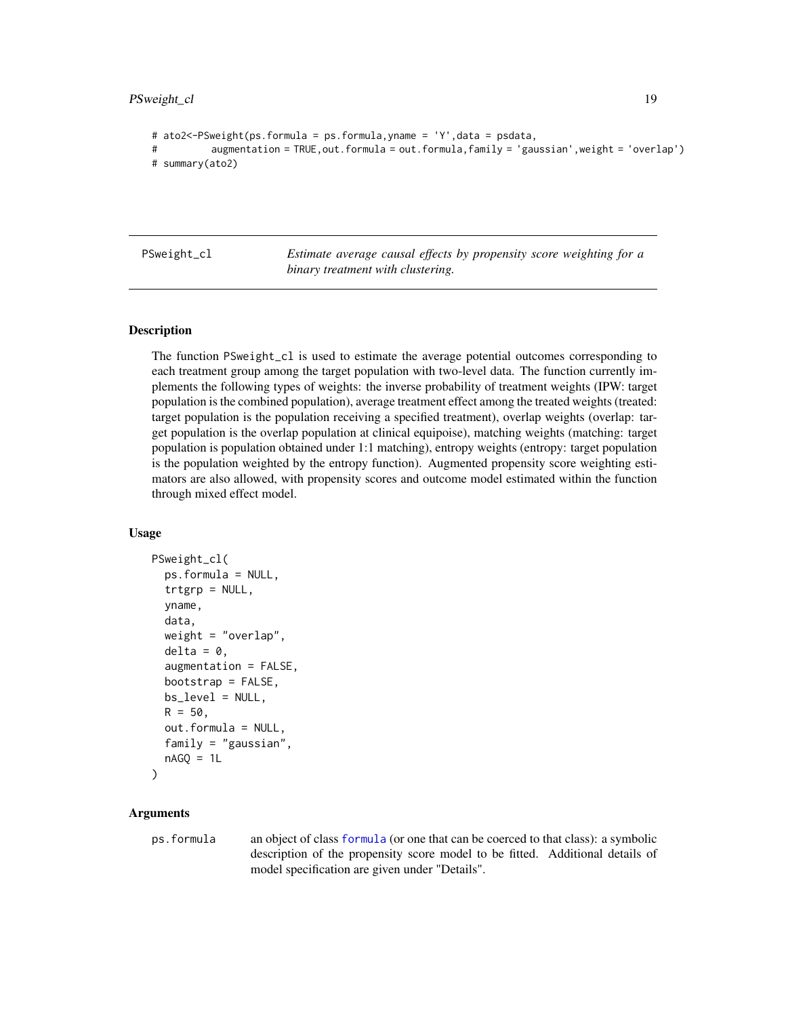#### <span id="page-18-0"></span>PSweight\_cl 19

```
# ato2<-PSweight(ps.formula = ps.formula,yname = 'Y',data = psdata,
```

```
# augmentation = TRUE,out.formula = out.formula,family = 'gaussian',weight = 'overlap')
```

```
# summary(ato2)
```
PSweight\_cl *Estimate average causal effects by propensity score weighting for a binary treatment with clustering.*

#### Description

The function PSweight\_cl is used to estimate the average potential outcomes corresponding to each treatment group among the target population with two-level data. The function currently implements the following types of weights: the inverse probability of treatment weights (IPW: target population is the combined population), average treatment effect among the treated weights (treated: target population is the population receiving a specified treatment), overlap weights (overlap: target population is the overlap population at clinical equipoise), matching weights (matching: target population is population obtained under 1:1 matching), entropy weights (entropy: target population is the population weighted by the entropy function). Augmented propensity score weighting estimators are also allowed, with propensity scores and outcome model estimated within the function through mixed effect model.

#### Usage

```
PSweight_cl(
  ps.formula = NULL,
  trtgrp = NULL,
  yname,
  data,
  weight = "overlap",
  delta = 0.
  augmentation = FALSE,
  bootstrap = FALSE,
 bs_level = NULL,
 R = 50,
  out.formula = NULL,
  family = "gaussian",
  nAGQ = 1L)
```
#### Arguments

ps.formula an object of class [formula](#page-0-0) (or one that can be coerced to that class): a symbolic description of the propensity score model to be fitted. Additional details of model specification are given under "Details".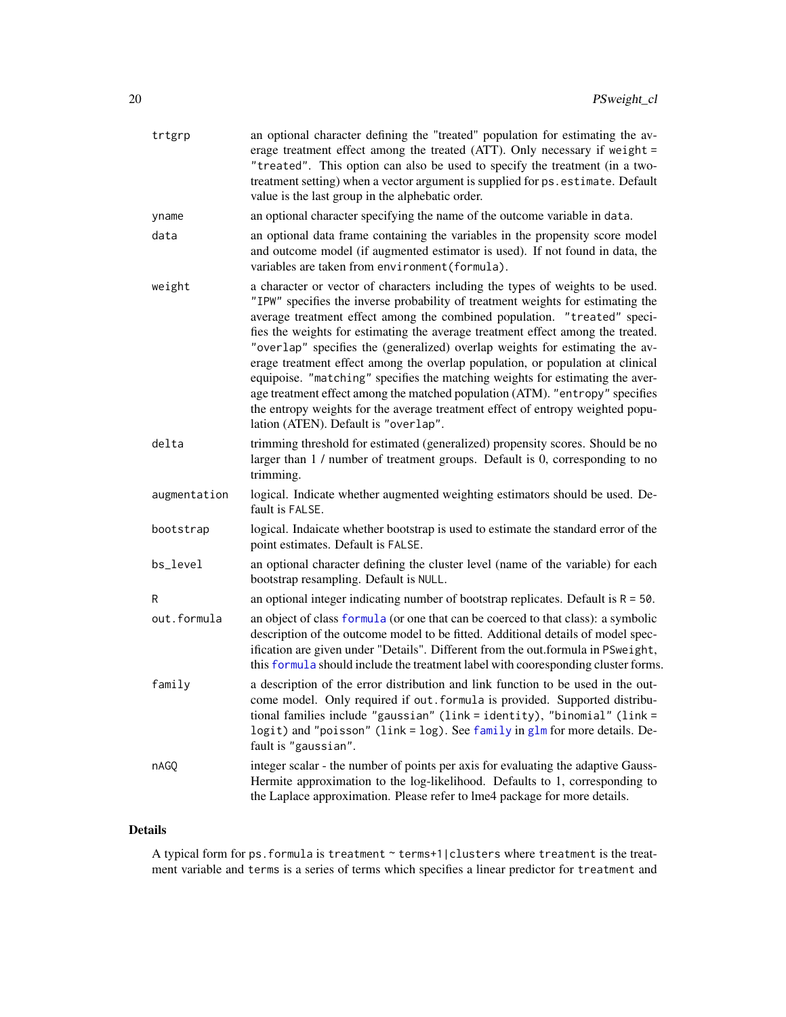<span id="page-19-0"></span>

| trtgrp       | an optional character defining the "treated" population for estimating the av-<br>erage treatment effect among the treated (ATT). Only necessary if weight =<br>"treated". This option can also be used to specify the treatment (in a two-<br>treatment setting) when a vector argument is supplied for ps. estimate. Default<br>value is the last group in the alphebatic order.                                                                                                                                                                                                                                                                                                                                                                                                            |  |
|--------------|-----------------------------------------------------------------------------------------------------------------------------------------------------------------------------------------------------------------------------------------------------------------------------------------------------------------------------------------------------------------------------------------------------------------------------------------------------------------------------------------------------------------------------------------------------------------------------------------------------------------------------------------------------------------------------------------------------------------------------------------------------------------------------------------------|--|
| yname        | an optional character specifying the name of the outcome variable in data.                                                                                                                                                                                                                                                                                                                                                                                                                                                                                                                                                                                                                                                                                                                    |  |
| data         | an optional data frame containing the variables in the propensity score model<br>and outcome model (if augmented estimator is used). If not found in data, the<br>variables are taken from environment (formula).                                                                                                                                                                                                                                                                                                                                                                                                                                                                                                                                                                             |  |
| weight       | a character or vector of characters including the types of weights to be used.<br>"IPW" specifies the inverse probability of treatment weights for estimating the<br>average treatment effect among the combined population. "treated" speci-<br>fies the weights for estimating the average treatment effect among the treated.<br>"overlap" specifies the (generalized) overlap weights for estimating the av-<br>erage treatment effect among the overlap population, or population at clinical<br>equipoise. "matching" specifies the matching weights for estimating the aver-<br>age treatment effect among the matched population (ATM). "entropy" specifies<br>the entropy weights for the average treatment effect of entropy weighted popu-<br>lation (ATEN). Default is "overlap". |  |
| delta        | trimming threshold for estimated (generalized) propensity scores. Should be no<br>larger than 1 / number of treatment groups. Default is 0, corresponding to no<br>trimming.                                                                                                                                                                                                                                                                                                                                                                                                                                                                                                                                                                                                                  |  |
| augmentation | logical. Indicate whether augmented weighting estimators should be used. De-<br>fault is FALSE.                                                                                                                                                                                                                                                                                                                                                                                                                                                                                                                                                                                                                                                                                               |  |
| bootstrap    | logical. Indaicate whether bootstrap is used to estimate the standard error of the<br>point estimates. Default is FALSE.                                                                                                                                                                                                                                                                                                                                                                                                                                                                                                                                                                                                                                                                      |  |
| bs_level     | an optional character defining the cluster level (name of the variable) for each<br>bootstrap resampling. Default is NULL.                                                                                                                                                                                                                                                                                                                                                                                                                                                                                                                                                                                                                                                                    |  |
| R            | an optional integer indicating number of bootstrap replicates. Default is $R = 50$ .                                                                                                                                                                                                                                                                                                                                                                                                                                                                                                                                                                                                                                                                                                          |  |
| out.formula  | an object of class formula (or one that can be coerced to that class): a symbolic<br>description of the outcome model to be fitted. Additional details of model spec-<br>ification are given under "Details". Different from the out.formula in PSweight,<br>this formula should include the treatment label with cooresponding cluster forms.                                                                                                                                                                                                                                                                                                                                                                                                                                                |  |
| family       | a description of the error distribution and link function to be used in the out-<br>come model. Only required if out formula is provided. Supported distribu-<br>tional families include "gaussian" (link = identity), "binomial" (link =<br>logit) and "poisson" (link = log). See family in glm for more details. De-<br>fault is "gaussian".                                                                                                                                                                                                                                                                                                                                                                                                                                               |  |
| nAGQ         | integer scalar - the number of points per axis for evaluating the adaptive Gauss-<br>Hermite approximation to the log-likelihood. Defaults to 1, corresponding to<br>the Laplace approximation. Please refer to lme4 package for more details.                                                                                                                                                                                                                                                                                                                                                                                                                                                                                                                                                |  |

#### Details

A typical form for ps.formula is treatment ~ terms+1|clusters where treatment is the treatment variable and terms is a series of terms which specifies a linear predictor for treatment and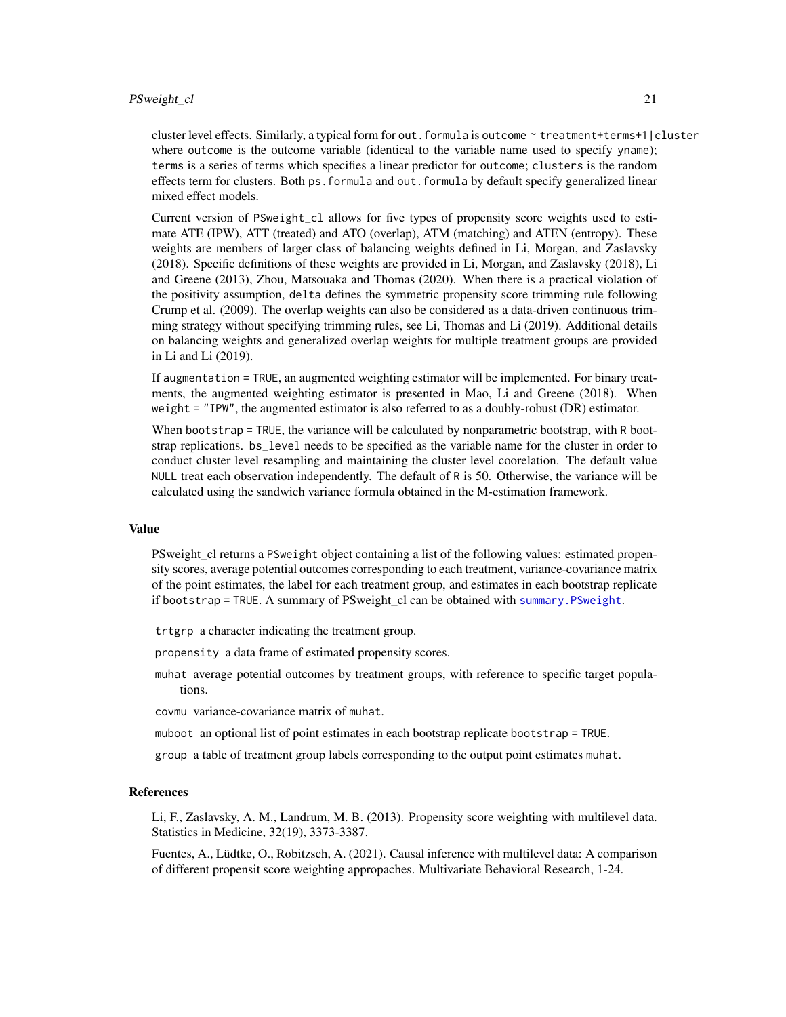#### <span id="page-20-0"></span>PSweight\_cl 21

cluster level effects. Similarly, a typical form for out.formula is outcome ~ treatment+terms+1|cluster where outcome is the outcome variable (identical to the variable name used to specify yname); terms is a series of terms which specifies a linear predictor for outcome; clusters is the random effects term for clusters. Both ps.formula and out.formula by default specify generalized linear mixed effect models.

Current version of PSweight\_cl allows for five types of propensity score weights used to estimate ATE (IPW), ATT (treated) and ATO (overlap), ATM (matching) and ATEN (entropy). These weights are members of larger class of balancing weights defined in Li, Morgan, and Zaslavsky (2018). Specific definitions of these weights are provided in Li, Morgan, and Zaslavsky (2018), Li and Greene (2013), Zhou, Matsouaka and Thomas (2020). When there is a practical violation of the positivity assumption, delta defines the symmetric propensity score trimming rule following Crump et al. (2009). The overlap weights can also be considered as a data-driven continuous trimming strategy without specifying trimming rules, see Li, Thomas and Li (2019). Additional details on balancing weights and generalized overlap weights for multiple treatment groups are provided in Li and Li (2019).

If augmentation = TRUE, an augmented weighting estimator will be implemented. For binary treatments, the augmented weighting estimator is presented in Mao, Li and Greene (2018). When weight = "IPW", the augmented estimator is also referred to as a doubly-robust (DR) estimator.

When bootstrap = TRUE, the variance will be calculated by nonparametric bootstrap, with R bootstrap replications. bs\_level needs to be specified as the variable name for the cluster in order to conduct cluster level resampling and maintaining the cluster level coorelation. The default value NULL treat each observation independently. The default of R is 50. Otherwise, the variance will be calculated using the sandwich variance formula obtained in the M-estimation framework.

#### Value

PSweight\_cl returns a PSweight object containing a list of the following values: estimated propensity scores, average potential outcomes corresponding to each treatment, variance-covariance matrix of the point estimates, the label for each treatment group, and estimates in each bootstrap replicate if bootstrap = TRUE. A summary of PSweight\_cl can be obtained with [summary.PSweight](#page-21-1).

- trtgrp a character indicating the treatment group.
- propensity a data frame of estimated propensity scores.
- muhat average potential outcomes by treatment groups, with reference to specific target populations.
- covmu variance-covariance matrix of muhat.
- muboot an optional list of point estimates in each bootstrap replicate bootstrap = TRUE.
- group a table of treatment group labels corresponding to the output point estimates muhat.

#### References

Li, F., Zaslavsky, A. M., Landrum, M. B. (2013). Propensity score weighting with multilevel data. Statistics in Medicine, 32(19), 3373-3387.

Fuentes, A., Lüdtke, O., Robitzsch, A. (2021). Causal inference with multilevel data: A comparison of different propensit score weighting appropaches. Multivariate Behavioral Research, 1-24.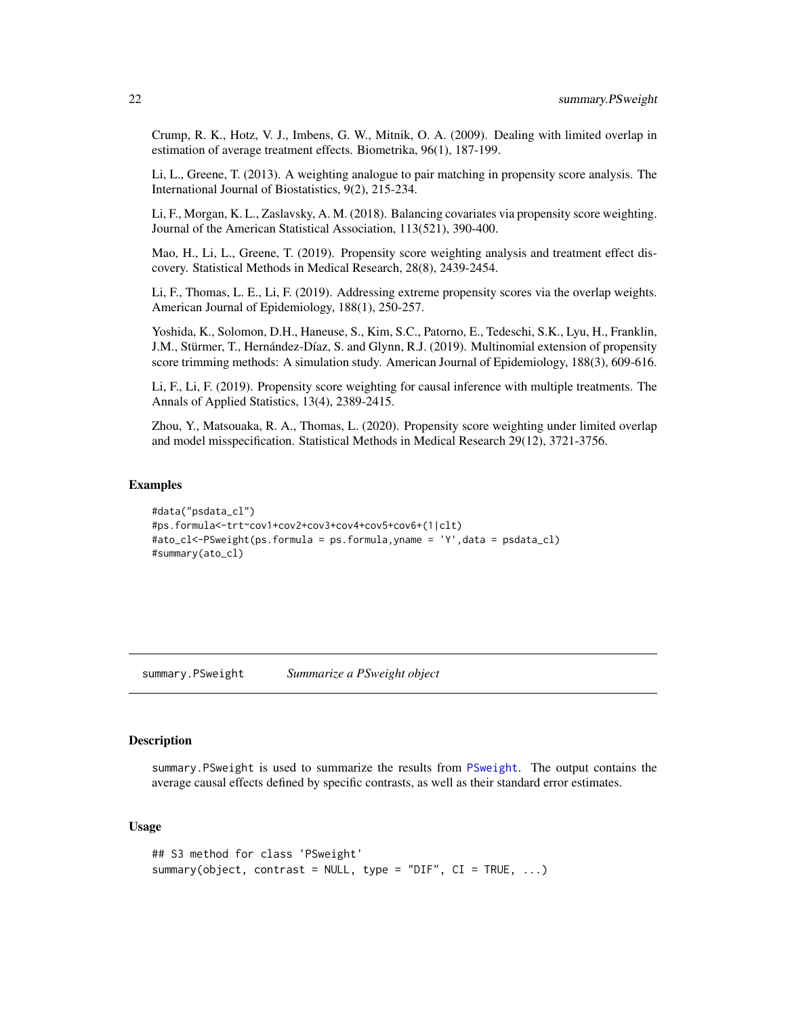<span id="page-21-0"></span>Crump, R. K., Hotz, V. J., Imbens, G. W., Mitnik, O. A. (2009). Dealing with limited overlap in estimation of average treatment effects. Biometrika, 96(1), 187-199.

Li, L., Greene, T. (2013). A weighting analogue to pair matching in propensity score analysis. The International Journal of Biostatistics, 9(2), 215-234.

Li, F., Morgan, K. L., Zaslavsky, A. M. (2018). Balancing covariates via propensity score weighting. Journal of the American Statistical Association, 113(521), 390-400.

Mao, H., Li, L., Greene, T. (2019). Propensity score weighting analysis and treatment effect discovery. Statistical Methods in Medical Research, 28(8), 2439-2454.

Li, F., Thomas, L. E., Li, F. (2019). Addressing extreme propensity scores via the overlap weights. American Journal of Epidemiology, 188(1), 250-257.

Yoshida, K., Solomon, D.H., Haneuse, S., Kim, S.C., Patorno, E., Tedeschi, S.K., Lyu, H., Franklin, J.M., Stürmer, T., Hernández-Díaz, S. and Glynn, R.J. (2019). Multinomial extension of propensity score trimming methods: A simulation study. American Journal of Epidemiology, 188(3), 609-616.

Li, F., Li, F. (2019). Propensity score weighting for causal inference with multiple treatments. The Annals of Applied Statistics, 13(4), 2389-2415.

Zhou, Y., Matsouaka, R. A., Thomas, L. (2020). Propensity score weighting under limited overlap and model misspecification. Statistical Methods in Medical Research 29(12), 3721-3756.

#### Examples

```
#data("psdata_cl")
#ps.formula<-trt~cov1+cov2+cov3+cov4+cov5+cov6+(1|clt)
#ato_cl<-PSweight(ps.formula = ps.formula,yname = 'Y',data = psdata_cl)
#summary(ato_cl)
```
<span id="page-21-1"></span>summary.PSweight *Summarize a PSweight object*

#### **Description**

summary.PSweight is used to summarize the results from [PSweight](#page-13-1). The output contains the average causal effects defined by specific contrasts, as well as their standard error estimates.

#### Usage

```
## S3 method for class 'PSweight'
summary(object, contrast = NULL, type = "DIF", CI = TRUE, ...)
```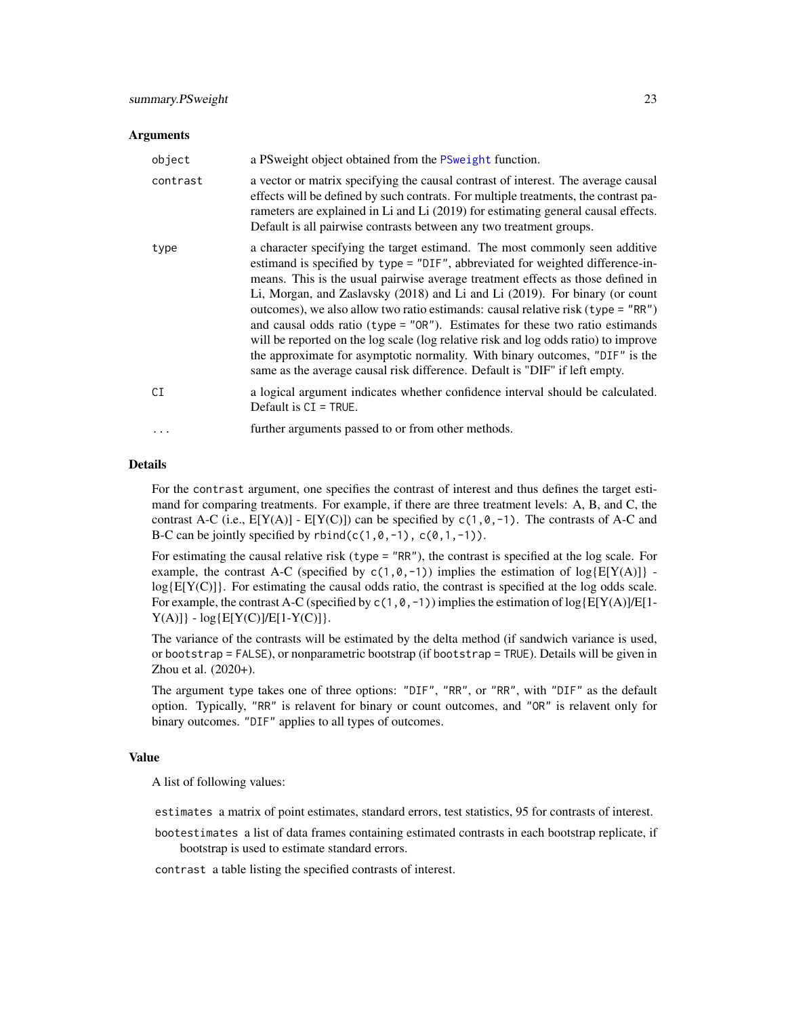#### Arguments

| object   | a PS weight object obtained from the PS weight function.                                                                                                                                                                                                                                                                                                                                                                                                                                                                                                                                                                                                                                                                                                        |
|----------|-----------------------------------------------------------------------------------------------------------------------------------------------------------------------------------------------------------------------------------------------------------------------------------------------------------------------------------------------------------------------------------------------------------------------------------------------------------------------------------------------------------------------------------------------------------------------------------------------------------------------------------------------------------------------------------------------------------------------------------------------------------------|
| contrast | a vector or matrix specifying the causal contrast of interest. The average causal<br>effects will be defined by such contrats. For multiple treatments, the contrast pa-<br>rameters are explained in Li and Li (2019) for estimating general causal effects.<br>Default is all pairwise contrasts between any two treatment groups.                                                                                                                                                                                                                                                                                                                                                                                                                            |
| type     | a character specifying the target estimand. The most commonly seen additive<br>estimand is specified by type = "DIF", abbreviated for weighted difference-in-<br>means. This is the usual pairwise average treatment effects as those defined in<br>Li, Morgan, and Zaslavsky (2018) and Li and Li (2019). For binary (or count<br>outcomes), we also allow two ratio estimands: causal relative risk (type = $"RR"$ )<br>and causal odds ratio (type = $"OR"$ ). Estimates for these two ratio estimands<br>will be reported on the log scale (log relative risk and log odds ratio) to improve<br>the approximate for asymptotic normality. With binary outcomes, "DIF" is the<br>same as the average causal risk difference. Default is "DIF" if left empty. |
| СĪ       | a logical argument indicates whether confidence interval should be calculated.<br>Default is $CI = TRUE$ .                                                                                                                                                                                                                                                                                                                                                                                                                                                                                                                                                                                                                                                      |
| $\ddots$ | further arguments passed to or from other methods.                                                                                                                                                                                                                                                                                                                                                                                                                                                                                                                                                                                                                                                                                                              |

#### Details

For the contrast argument, one specifies the contrast of interest and thus defines the target estimand for comparing treatments. For example, if there are three treatment levels: A, B, and C, the contrast A-C (i.e.,  $E[Y(A)] - E[Y(C)]$ ) can be specified by  $c(1, 0, -1)$ . The contrasts of A-C and B-C can be jointly specified by  $rbind(c(1, 0, -1), c(0, 1, -1))$ .

For estimating the causal relative risk (type = "RR"), the contrast is specified at the log scale. For example, the contrast A-C (specified by  $c(1, \emptyset, -1)$ ) implies the estimation of  $log{E[Y(A)]}$   $log{E[Y(C)]}$ . For estimating the causal odds ratio, the contrast is specified at the log odds scale. For example, the contrast A-C (specified by  $c(1,0,-1)$ ) implies the estimation of log{E[Y(A)]/E[1- $Y(A)]$  -  $log{E[Y(C)]/E[1-Y(C)]}$ .

The variance of the contrasts will be estimated by the delta method (if sandwich variance is used, or bootstrap = FALSE), or nonparametric bootstrap (if bootstrap = TRUE). Details will be given in Zhou et al. (2020+).

The argument type takes one of three options: "DIF", "RR", or "RR", with "DIF" as the default option. Typically, "RR" is relavent for binary or count outcomes, and "OR" is relavent only for binary outcomes. "DIF" applies to all types of outcomes.

#### Value

A list of following values:

estimates a matrix of point estimates, standard errors, test statistics, 95 for contrasts of interest.

bootestimates a list of data frames containing estimated contrasts in each bootstrap replicate, if bootstrap is used to estimate standard errors.

contrast a table listing the specified contrasts of interest.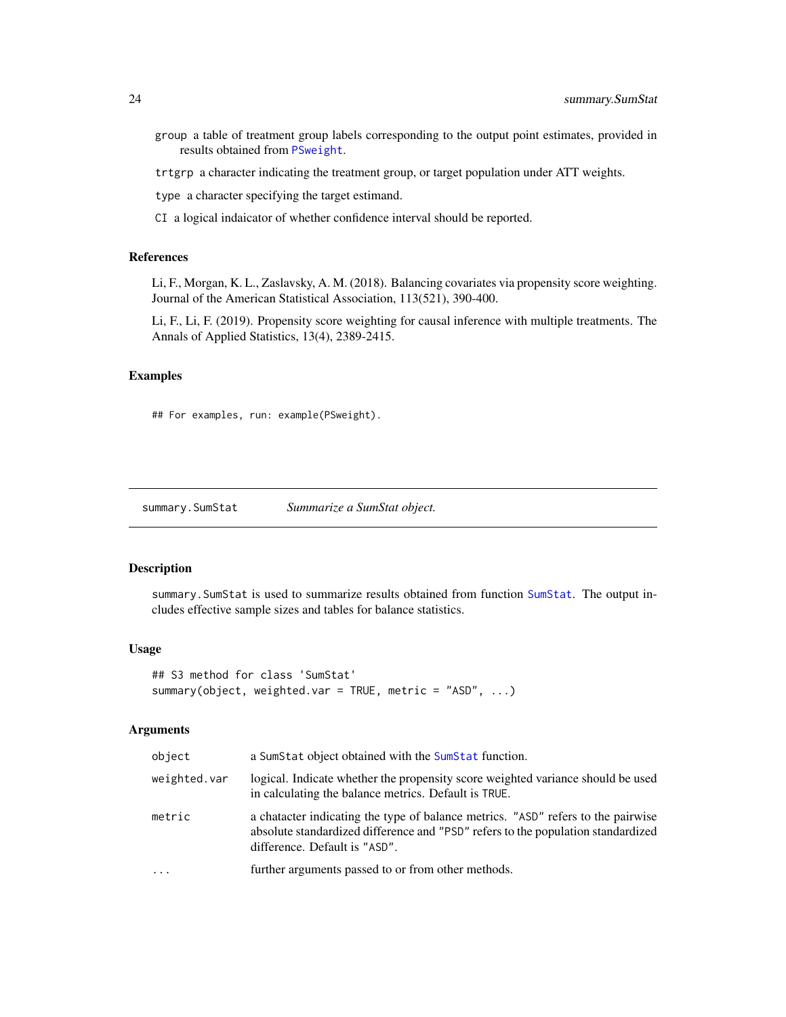- <span id="page-23-0"></span>group a table of treatment group labels corresponding to the output point estimates, provided in results obtained from [PSweight](#page-13-1).
- trtgrp a character indicating the treatment group, or target population under ATT weights.

type a character specifying the target estimand.

CI a logical indaicator of whether confidence interval should be reported.

#### References

Li, F., Morgan, K. L., Zaslavsky, A. M. (2018). Balancing covariates via propensity score weighting. Journal of the American Statistical Association, 113(521), 390-400.

Li, F., Li, F. (2019). Propensity score weighting for causal inference with multiple treatments. The Annals of Applied Statistics, 13(4), 2389-2415.

#### Examples

```
## For examples, run: example(PSweight).
```
<span id="page-23-1"></span>summary.SumStat *Summarize a SumStat object.*

#### Description

summary.SumStat is used to summarize results obtained from function [SumStat](#page-25-1). The output includes effective sample sizes and tables for balance statistics.

#### Usage

```
## S3 method for class 'SumStat'
summary(object, weighted.var = TRUE, metric = "ASD", ...)
```
#### Arguments

| object       | a Sum Stat object obtained with the Sum Stat function.                                                                                                                                                |  |
|--------------|-------------------------------------------------------------------------------------------------------------------------------------------------------------------------------------------------------|--|
| weighted.var | logical. Indicate whether the propensity score weighted variance should be used<br>in calculating the balance metrics. Default is TRUE.                                                               |  |
| metric       | a character indicating the type of balance metrics. "ASD" refers to the pairwise<br>absolute standardized difference and "PSD" refers to the population standardized<br>difference. Default is "ASD". |  |
| $\cdot$      | further arguments passed to or from other methods.                                                                                                                                                    |  |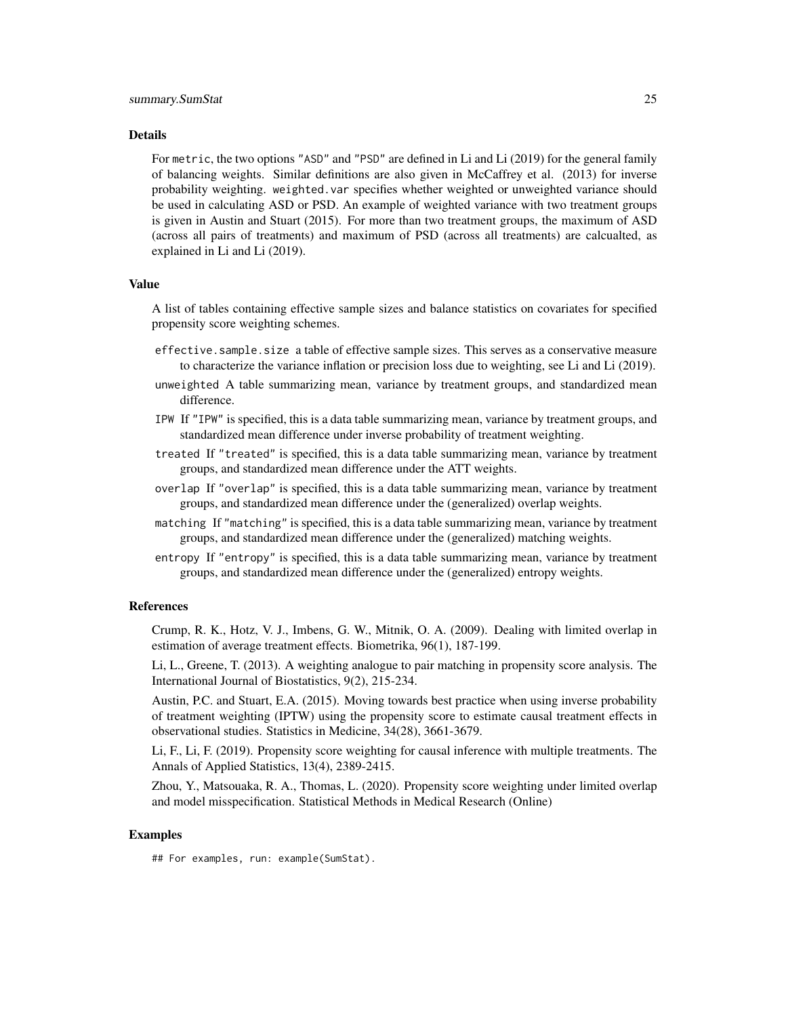#### Details

For metric, the two options "ASD" and "PSD" are defined in Li and Li (2019) for the general family of balancing weights. Similar definitions are also given in McCaffrey et al. (2013) for inverse probability weighting. weighted.var specifies whether weighted or unweighted variance should be used in calculating ASD or PSD. An example of weighted variance with two treatment groups is given in Austin and Stuart (2015). For more than two treatment groups, the maximum of ASD (across all pairs of treatments) and maximum of PSD (across all treatments) are calcualted, as explained in Li and Li (2019).

#### Value

A list of tables containing effective sample sizes and balance statistics on covariates for specified propensity score weighting schemes.

- effective.sample.size a table of effective sample sizes. This serves as a conservative measure to characterize the variance inflation or precision loss due to weighting, see Li and Li (2019).
- unweighted A table summarizing mean, variance by treatment groups, and standardized mean difference.
- IPW If "IPW" is specified, this is a data table summarizing mean, variance by treatment groups, and standardized mean difference under inverse probability of treatment weighting.
- treated If "treated" is specified, this is a data table summarizing mean, variance by treatment groups, and standardized mean difference under the ATT weights.
- overlap If "overlap" is specified, this is a data table summarizing mean, variance by treatment groups, and standardized mean difference under the (generalized) overlap weights.
- matching If "matching" is specified, this is a data table summarizing mean, variance by treatment groups, and standardized mean difference under the (generalized) matching weights.
- entropy If "entropy" is specified, this is a data table summarizing mean, variance by treatment groups, and standardized mean difference under the (generalized) entropy weights.

#### References

Crump, R. K., Hotz, V. J., Imbens, G. W., Mitnik, O. A. (2009). Dealing with limited overlap in estimation of average treatment effects. Biometrika, 96(1), 187-199.

Li, L., Greene, T. (2013). A weighting analogue to pair matching in propensity score analysis. The International Journal of Biostatistics, 9(2), 215-234.

Austin, P.C. and Stuart, E.A. (2015). Moving towards best practice when using inverse probability of treatment weighting (IPTW) using the propensity score to estimate causal treatment effects in observational studies. Statistics in Medicine, 34(28), 3661-3679.

Li, F., Li, F. (2019). Propensity score weighting for causal inference with multiple treatments. The Annals of Applied Statistics, 13(4), 2389-2415.

Zhou, Y., Matsouaka, R. A., Thomas, L. (2020). Propensity score weighting under limited overlap and model misspecification. Statistical Methods in Medical Research (Online)

#### Examples

## For examples, run: example(SumStat).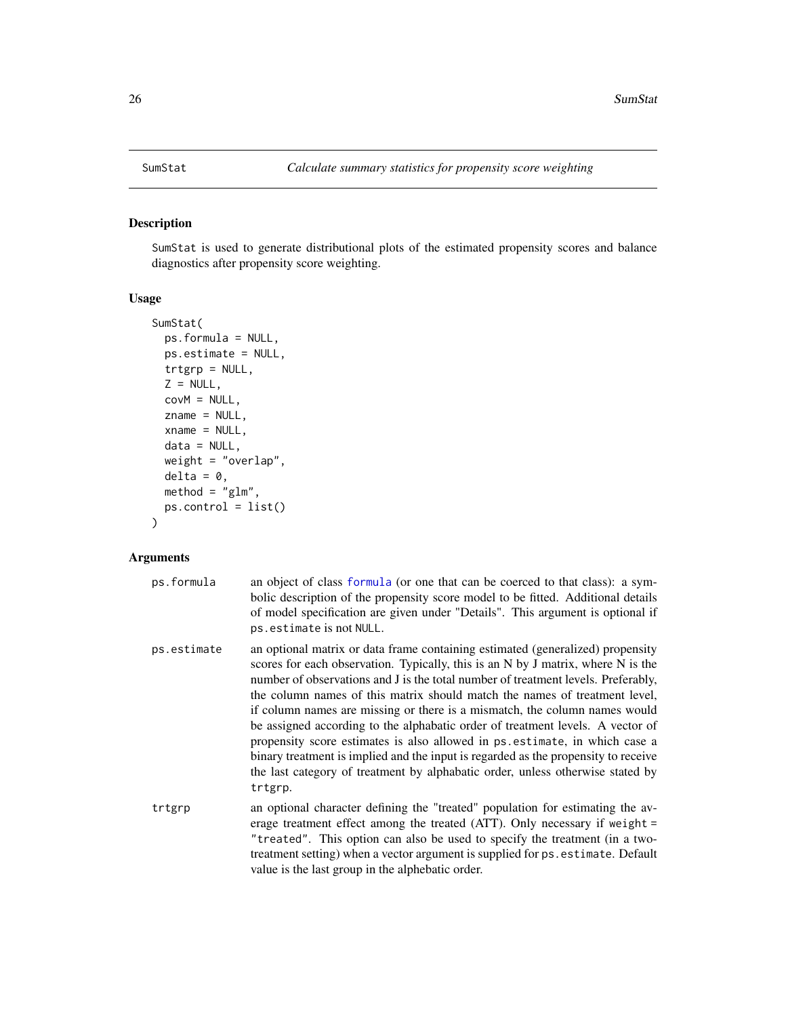<span id="page-25-1"></span><span id="page-25-0"></span>

#### Description

SumStat is used to generate distributional plots of the estimated propensity scores and balance diagnostics after propensity score weighting.

#### Usage

```
SumStat(
 ps.formula = NULL,
 ps.estimate = NULL,
  trtgrp = NULL,
 Z = NULL,covM = NULL,zname = NULL,
 xname = NULL,
 data = NULL,weight = "overlap",
 delta = 0,
 \mathsf{method} = "glm",ps.control = list()
)
```
#### Arguments

| ps.formula  | an object of class formula (or one that can be coerced to that class): a sym-<br>bolic description of the propensity score model to be fitted. Additional details<br>of model specification are given under "Details". This argument is optional if<br>ps.estimate is not NULL.                                                                                                                                                                                                                                                                                                                                                                                                                                                                                         |  |
|-------------|-------------------------------------------------------------------------------------------------------------------------------------------------------------------------------------------------------------------------------------------------------------------------------------------------------------------------------------------------------------------------------------------------------------------------------------------------------------------------------------------------------------------------------------------------------------------------------------------------------------------------------------------------------------------------------------------------------------------------------------------------------------------------|--|
| ps.estimate | an optional matrix or data frame containing estimated (generalized) propensity<br>scores for each observation. Typically, this is an N by J matrix, where N is the<br>number of observations and J is the total number of treatment levels. Preferably,<br>the column names of this matrix should match the names of treatment level,<br>if column names are missing or there is a mismatch, the column names would<br>be assigned according to the alphabatic order of treatment levels. A vector of<br>propensity score estimates is also allowed in ps. estimate, in which case a<br>binary treatment is implied and the input is regarded as the propensity to receive<br>the last category of treatment by alphabatic order, unless otherwise stated by<br>trtgrp. |  |
| trtgrp      | an optional character defining the "treated" population for estimating the av-<br>erage treatment effect among the treated (ATT). Only necessary if weight $=$<br>"treated". This option can also be used to specify the treatment (in a two-<br>treatment setting) when a vector argument is supplied for ps. estimate. Default<br>value is the last group in the alphebatic order.                                                                                                                                                                                                                                                                                                                                                                                    |  |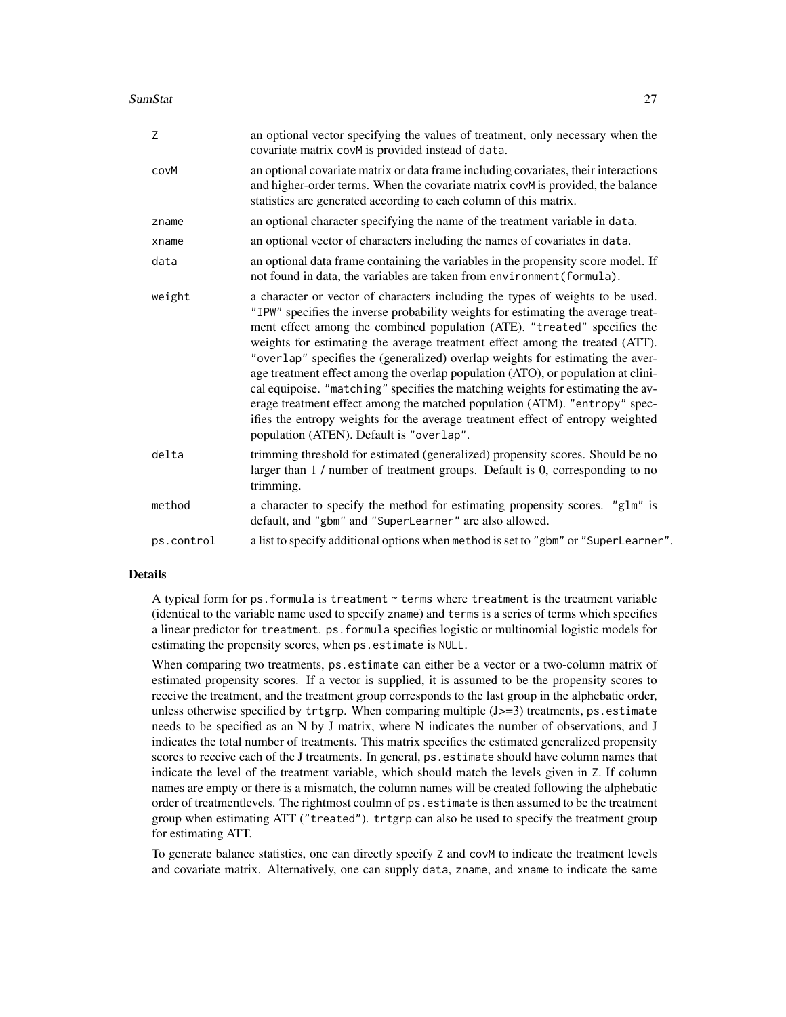#### SumStat 27

| Z          | an optional vector specifying the values of treatment, only necessary when the<br>covariate matrix covM is provided instead of data.                                                                                                                                                                                                                                                                                                                                                                                                                                                                                                                                                                                                                                                                 |  |
|------------|------------------------------------------------------------------------------------------------------------------------------------------------------------------------------------------------------------------------------------------------------------------------------------------------------------------------------------------------------------------------------------------------------------------------------------------------------------------------------------------------------------------------------------------------------------------------------------------------------------------------------------------------------------------------------------------------------------------------------------------------------------------------------------------------------|--|
| covM       | an optional covariate matrix or data frame including covariates, their interactions<br>and higher-order terms. When the covariate matrix covM is provided, the balance<br>statistics are generated according to each column of this matrix.                                                                                                                                                                                                                                                                                                                                                                                                                                                                                                                                                          |  |
| zname      | an optional character specifying the name of the treatment variable in data.                                                                                                                                                                                                                                                                                                                                                                                                                                                                                                                                                                                                                                                                                                                         |  |
| xname      | an optional vector of characters including the names of covariates in data.                                                                                                                                                                                                                                                                                                                                                                                                                                                                                                                                                                                                                                                                                                                          |  |
| data       | an optional data frame containing the variables in the propensity score model. If<br>not found in data, the variables are taken from environment (formula).                                                                                                                                                                                                                                                                                                                                                                                                                                                                                                                                                                                                                                          |  |
| weight     | a character or vector of characters including the types of weights to be used.<br>"IPW" specifies the inverse probability weights for estimating the average treat-<br>ment effect among the combined population (ATE). "treated" specifies the<br>weights for estimating the average treatment effect among the treated (ATT).<br>"overlap" specifies the (generalized) overlap weights for estimating the aver-<br>age treatment effect among the overlap population (ATO), or population at clini-<br>cal equipoise. "matching" specifies the matching weights for estimating the av-<br>erage treatment effect among the matched population (ATM). "entropy" spec-<br>ifies the entropy weights for the average treatment effect of entropy weighted<br>population (ATEN). Default is "overlap". |  |
| delta      | trimming threshold for estimated (generalized) propensity scores. Should be no<br>larger than 1 / number of treatment groups. Default is 0, corresponding to no<br>trimming.                                                                                                                                                                                                                                                                                                                                                                                                                                                                                                                                                                                                                         |  |
| method     | a character to specify the method for estimating propensity scores. "glm" is<br>default, and "gbm" and "SuperLearner" are also allowed.                                                                                                                                                                                                                                                                                                                                                                                                                                                                                                                                                                                                                                                              |  |
| ps.control | a list to specify additional options when method is set to "gbm" or "SuperLearner".                                                                                                                                                                                                                                                                                                                                                                                                                                                                                                                                                                                                                                                                                                                  |  |
|            |                                                                                                                                                                                                                                                                                                                                                                                                                                                                                                                                                                                                                                                                                                                                                                                                      |  |

#### Details

A typical form for ps. formula is treatment ~ terms where treatment is the treatment variable (identical to the variable name used to specify zname) and terms is a series of terms which specifies a linear predictor for treatment. ps.formula specifies logistic or multinomial logistic models for estimating the propensity scores, when ps.estimate is NULL.

When comparing two treatments, ps.estimate can either be a vector or a two-column matrix of estimated propensity scores. If a vector is supplied, it is assumed to be the propensity scores to receive the treatment, and the treatment group corresponds to the last group in the alphebatic order, unless otherwise specified by trtgrp. When comparing multiple  $(J>=3)$  treatments, ps. estimate needs to be specified as an N by J matrix, where N indicates the number of observations, and J indicates the total number of treatments. This matrix specifies the estimated generalized propensity scores to receive each of the J treatments. In general, ps.estimate should have column names that indicate the level of the treatment variable, which should match the levels given in Z. If column names are empty or there is a mismatch, the column names will be created following the alphebatic order of treatmentlevels. The rightmost coulmn of ps.estimate is then assumed to be the treatment group when estimating ATT ("treated"). trtgrp can also be used to specify the treatment group for estimating ATT.

To generate balance statistics, one can directly specify Z and covM to indicate the treatment levels and covariate matrix. Alternatively, one can supply data, zname, and xname to indicate the same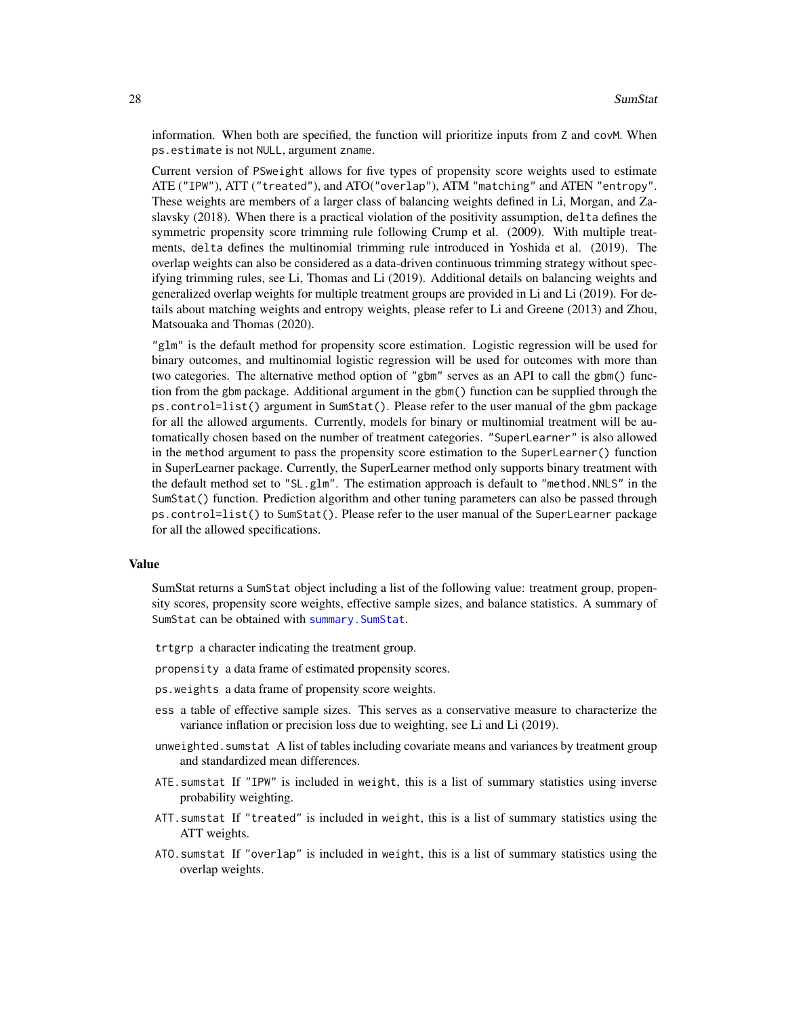<span id="page-27-0"></span>information. When both are specified, the function will prioritize inputs from Z and covM. When ps.estimate is not NULL, argument zname.

Current version of PSweight allows for five types of propensity score weights used to estimate ATE ("IPW"), ATT ("treated"), and ATO("overlap"), ATM "matching" and ATEN "entropy". These weights are members of a larger class of balancing weights defined in Li, Morgan, and Zaslavsky (2018). When there is a practical violation of the positivity assumption, delta defines the symmetric propensity score trimming rule following Crump et al. (2009). With multiple treatments, delta defines the multinomial trimming rule introduced in Yoshida et al. (2019). The overlap weights can also be considered as a data-driven continuous trimming strategy without specifying trimming rules, see Li, Thomas and Li (2019). Additional details on balancing weights and generalized overlap weights for multiple treatment groups are provided in Li and Li (2019). For details about matching weights and entropy weights, please refer to Li and Greene (2013) and Zhou, Matsouaka and Thomas (2020).

"glm" is the default method for propensity score estimation. Logistic regression will be used for binary outcomes, and multinomial logistic regression will be used for outcomes with more than two categories. The alternative method option of "gbm" serves as an API to call the gbm() function from the gbm package. Additional argument in the gbm() function can be supplied through the ps.control=list() argument in SumStat(). Please refer to the user manual of the gbm package for all the allowed arguments. Currently, models for binary or multinomial treatment will be automatically chosen based on the number of treatment categories. "SuperLearner" is also allowed in the method argument to pass the propensity score estimation to the SuperLearner() function in SuperLearner package. Currently, the SuperLearner method only supports binary treatment with the default method set to "SL.glm". The estimation approach is default to "method.NNLS" in the SumStat() function. Prediction algorithm and other tuning parameters can also be passed through ps.control=list() to SumStat(). Please refer to the user manual of the SuperLearner package for all the allowed specifications.

#### Value

SumStat returns a SumStat object including a list of the following value: treatment group, propensity scores, propensity score weights, effective sample sizes, and balance statistics. A summary of SumStat can be obtained with [summary.SumStat](#page-23-1).

trtgrp a character indicating the treatment group.

propensity a data frame of estimated propensity scores.

- ps.weights a data frame of propensity score weights.
- ess a table of effective sample sizes. This serves as a conservative measure to characterize the variance inflation or precision loss due to weighting, see Li and Li (2019).
- unweighted.sumstat A list of tables including covariate means and variances by treatment group and standardized mean differences.
- ATE.sumstat If "IPW" is included in weight, this is a list of summary statistics using inverse probability weighting.
- ATT.sumstat If "treated" is included in weight, this is a list of summary statistics using the ATT weights.
- ATO.sumstat If "overlap" is included in weight, this is a list of summary statistics using the overlap weights.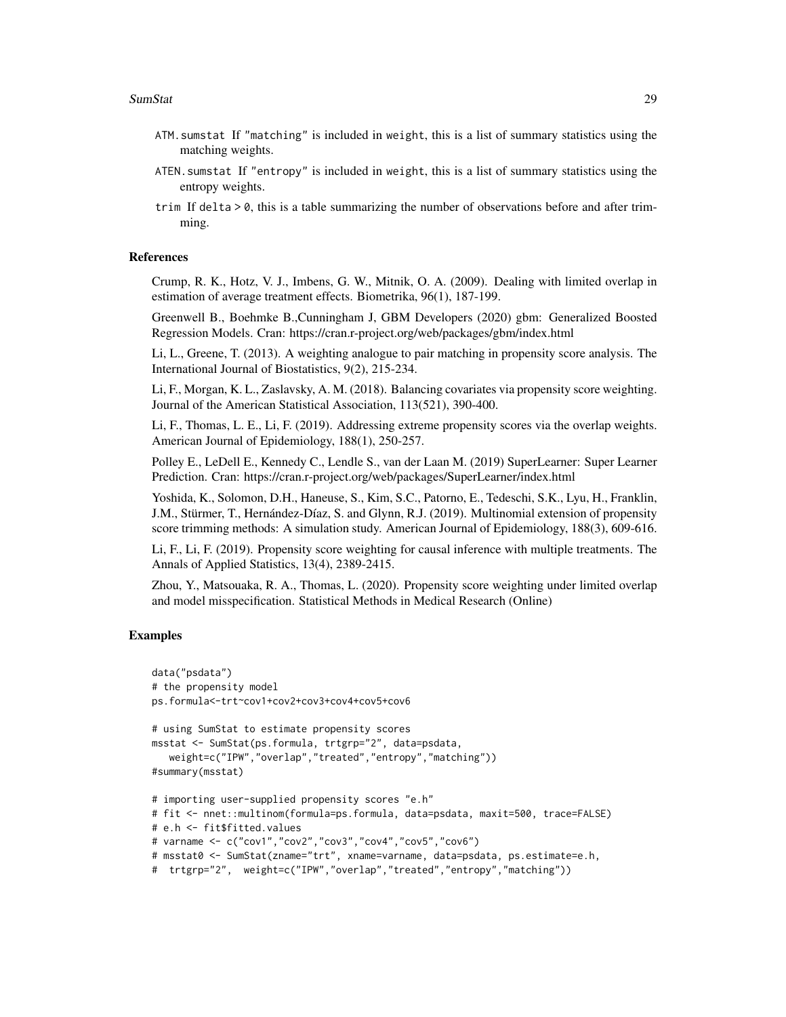- ATM.sumstat If "matching" is included in weight, this is a list of summary statistics using the matching weights.
- ATEN.sumstat If "entropy" is included in weight, this is a list of summary statistics using the entropy weights.
- trim If delta > 0, this is a table summarizing the number of observations before and after trimming.

#### **References**

Crump, R. K., Hotz, V. J., Imbens, G. W., Mitnik, O. A. (2009). Dealing with limited overlap in estimation of average treatment effects. Biometrika, 96(1), 187-199.

Greenwell B., Boehmke B.,Cunningham J, GBM Developers (2020) gbm: Generalized Boosted Regression Models. Cran: https://cran.r-project.org/web/packages/gbm/index.html

Li, L., Greene, T. (2013). A weighting analogue to pair matching in propensity score analysis. The International Journal of Biostatistics, 9(2), 215-234.

Li, F., Morgan, K. L., Zaslavsky, A. M. (2018). Balancing covariates via propensity score weighting. Journal of the American Statistical Association, 113(521), 390-400.

Li, F., Thomas, L. E., Li, F. (2019). Addressing extreme propensity scores via the overlap weights. American Journal of Epidemiology, 188(1), 250-257.

Polley E., LeDell E., Kennedy C., Lendle S., van der Laan M. (2019) SuperLearner: Super Learner Prediction. Cran: https://cran.r-project.org/web/packages/SuperLearner/index.html

Yoshida, K., Solomon, D.H., Haneuse, S., Kim, S.C., Patorno, E., Tedeschi, S.K., Lyu, H., Franklin, J.M., Stürmer, T., Hernández-Díaz, S. and Glynn, R.J. (2019). Multinomial extension of propensity score trimming methods: A simulation study. American Journal of Epidemiology, 188(3), 609-616.

Li, F., Li, F. (2019). Propensity score weighting for causal inference with multiple treatments. The Annals of Applied Statistics, 13(4), 2389-2415.

Zhou, Y., Matsouaka, R. A., Thomas, L. (2020). Propensity score weighting under limited overlap and model misspecification. Statistical Methods in Medical Research (Online)

#### Examples

```
data("psdata")
# the propensity model
ps.formula<-trt~cov1+cov2+cov3+cov4+cov5+cov6
# using SumStat to estimate propensity scores
msstat <- SumStat(ps.formula, trtgrp="2", data=psdata,
  weight=c("IPW","overlap","treated","entropy","matching"))
#summary(msstat)
# importing user-supplied propensity scores "e.h"
# fit <- nnet::multinom(formula=ps.formula, data=psdata, maxit=500, trace=FALSE)
# e.h <- fit$fitted.values
# varname <- c("cov1","cov2","cov3","cov4","cov5","cov6")
# msstat0 <- SumStat(zname="trt", xname=varname, data=psdata, ps.estimate=e.h,
# trtgrp="2", weight=c("IPW","overlap","treated","entropy","matching"))
```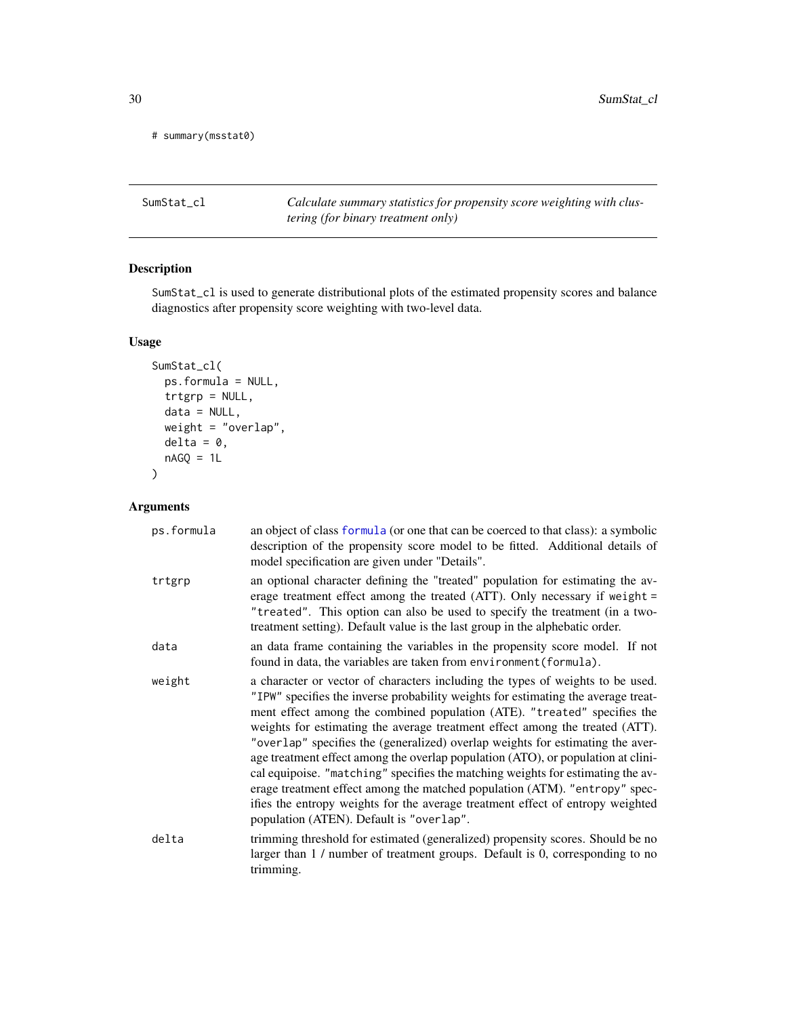<span id="page-29-0"></span># summary(msstat0)

SumStat\_cl *Calculate summary statistics for propensity score weighting with clustering (for binary treatment only)*

#### Description

SumStat\_cl is used to generate distributional plots of the estimated propensity scores and balance diagnostics after propensity score weighting with two-level data.

#### Usage

```
SumStat_cl(
 ps.formula = NULL,
 trtgrp = NULL,
 data = NULL,weight = "overlap",
 delta = 0,
 nAGQ = 1L)
```
#### Arguments

| ps.formula | an object of class formula (or one that can be coerced to that class): a symbolic<br>description of the propensity score model to be fitted. Additional details of<br>model specification are given under "Details".                                                                                                                                                                                                                                                                                                                                                                                                                                                                                                                                                                                 |  |
|------------|------------------------------------------------------------------------------------------------------------------------------------------------------------------------------------------------------------------------------------------------------------------------------------------------------------------------------------------------------------------------------------------------------------------------------------------------------------------------------------------------------------------------------------------------------------------------------------------------------------------------------------------------------------------------------------------------------------------------------------------------------------------------------------------------------|--|
| trtgrp     | an optional character defining the "treated" population for estimating the av-<br>erage treatment effect among the treated (ATT). Only necessary if weight $=$<br>"treated". This option can also be used to specify the treatment (in a two-<br>treatment setting). Default value is the last group in the alphebatic order.                                                                                                                                                                                                                                                                                                                                                                                                                                                                        |  |
| data       | an data frame containing the variables in the propensity score model. If not<br>found in data, the variables are taken from environment (formula).                                                                                                                                                                                                                                                                                                                                                                                                                                                                                                                                                                                                                                                   |  |
| weight     | a character or vector of characters including the types of weights to be used.<br>"IPW" specifies the inverse probability weights for estimating the average treat-<br>ment effect among the combined population (ATE). "treated" specifies the<br>weights for estimating the average treatment effect among the treated (ATT).<br>"overlap" specifies the (generalized) overlap weights for estimating the aver-<br>age treatment effect among the overlap population (ATO), or population at clini-<br>cal equipoise. "matching" specifies the matching weights for estimating the av-<br>erage treatment effect among the matched population (ATM). "entropy" spec-<br>ifies the entropy weights for the average treatment effect of entropy weighted<br>population (ATEN). Default is "overlap". |  |
| delta      | trimming threshold for estimated (generalized) propensity scores. Should be no<br>larger than 1 / number of treatment groups. Default is 0, corresponding to no<br>trimming.                                                                                                                                                                                                                                                                                                                                                                                                                                                                                                                                                                                                                         |  |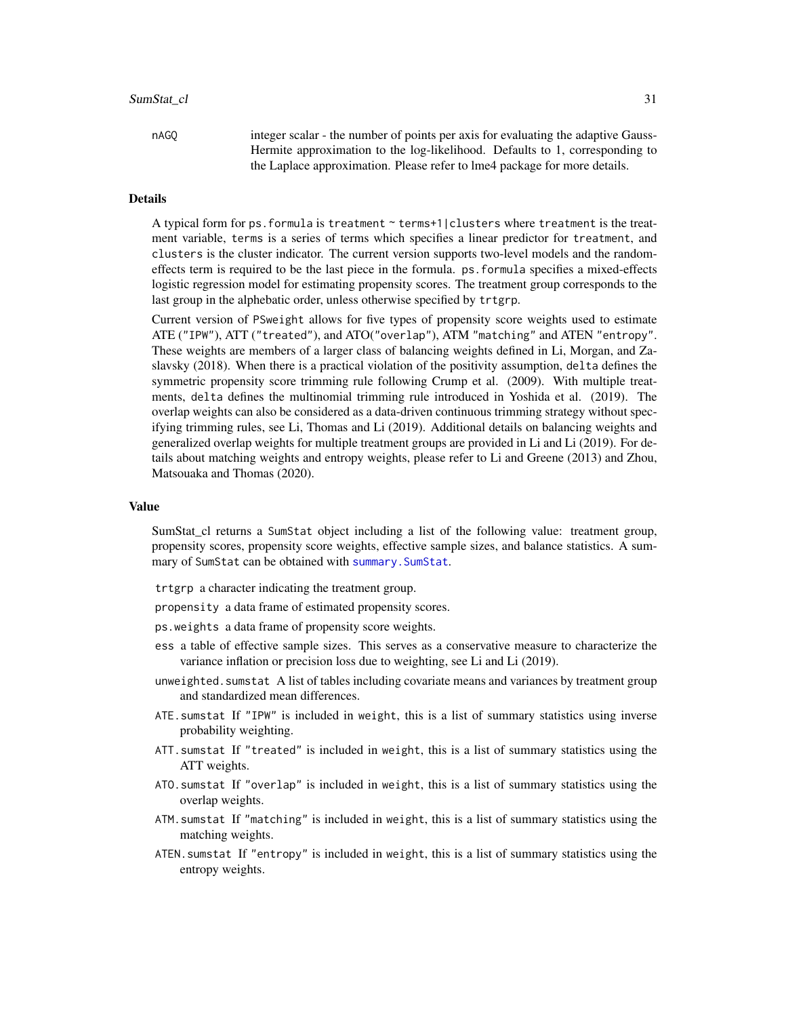#### <span id="page-30-0"></span>SumStat\_cl 31

nAGQ integer scalar - the number of points per axis for evaluating the adaptive Gauss-Hermite approximation to the log-likelihood. Defaults to 1, corresponding to the Laplace approximation. Please refer to lme4 package for more details.

#### Details

A typical form for ps. formula is treatment  $\sim$  terms+1|clusters where treatment is the treatment variable, terms is a series of terms which specifies a linear predictor for treatment, and clusters is the cluster indicator. The current version supports two-level models and the randomeffects term is required to be the last piece in the formula. ps.formula specifies a mixed-effects logistic regression model for estimating propensity scores. The treatment group corresponds to the last group in the alphebatic order, unless otherwise specified by trtgrp.

Current version of PSweight allows for five types of propensity score weights used to estimate ATE ("IPW"), ATT ("treated"), and ATO("overlap"), ATM "matching" and ATEN "entropy". These weights are members of a larger class of balancing weights defined in Li, Morgan, and Zaslavsky (2018). When there is a practical violation of the positivity assumption, delta defines the symmetric propensity score trimming rule following Crump et al. (2009). With multiple treatments, delta defines the multinomial trimming rule introduced in Yoshida et al. (2019). The overlap weights can also be considered as a data-driven continuous trimming strategy without specifying trimming rules, see Li, Thomas and Li (2019). Additional details on balancing weights and generalized overlap weights for multiple treatment groups are provided in Li and Li (2019). For details about matching weights and entropy weights, please refer to Li and Greene (2013) and Zhou, Matsouaka and Thomas (2020).

#### Value

SumStat\_cl returns a SumStat object including a list of the following value: treatment group, propensity scores, propensity score weights, effective sample sizes, and balance statistics. A summary of SumStat can be obtained with [summary.SumStat](#page-23-1).

trtgrp a character indicating the treatment group.

- propensity a data frame of estimated propensity scores.
- ps.weights a data frame of propensity score weights.
- ess a table of effective sample sizes. This serves as a conservative measure to characterize the variance inflation or precision loss due to weighting, see Li and Li (2019).
- unweighted.sumstat A list of tables including covariate means and variances by treatment group and standardized mean differences.
- ATE.sumstat If "IPW" is included in weight, this is a list of summary statistics using inverse probability weighting.
- ATT.sumstat If "treated" is included in weight, this is a list of summary statistics using the ATT weights.
- ATO.sumstat If "overlap" is included in weight, this is a list of summary statistics using the overlap weights.
- ATM.sumstat If "matching" is included in weight, this is a list of summary statistics using the matching weights.
- ATEN.sumstat If "entropy" is included in weight, this is a list of summary statistics using the entropy weights.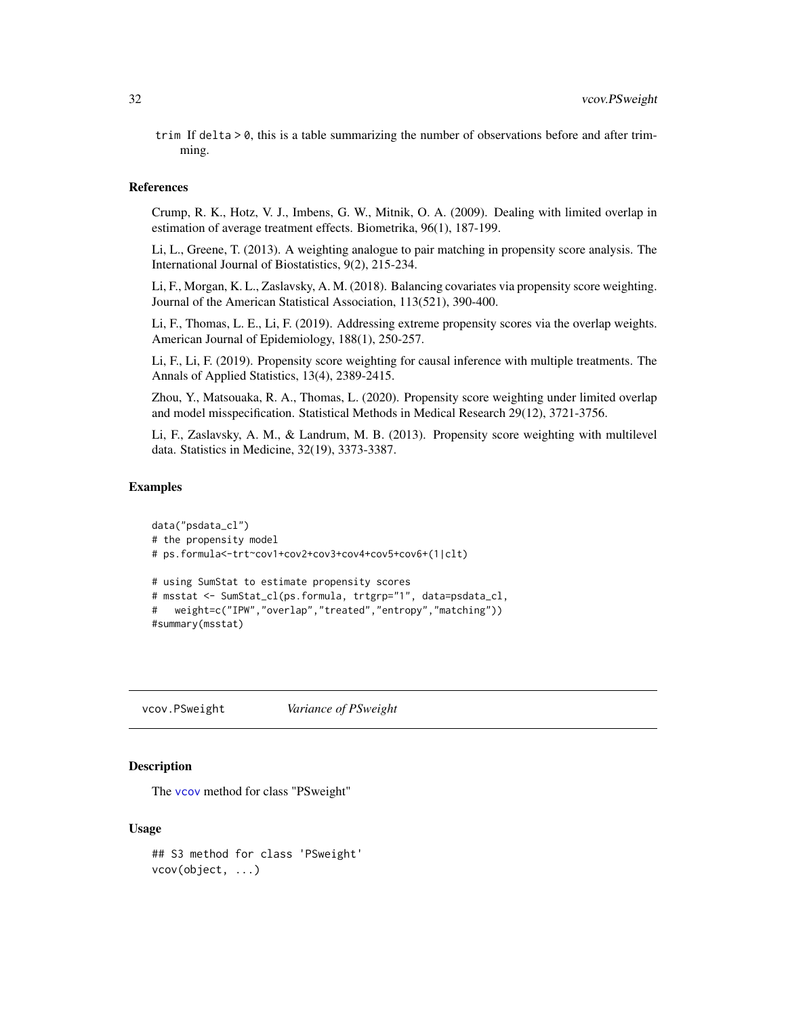<span id="page-31-0"></span>trim If delta > 0, this is a table summarizing the number of observations before and after trimming.

#### References

Crump, R. K., Hotz, V. J., Imbens, G. W., Mitnik, O. A. (2009). Dealing with limited overlap in estimation of average treatment effects. Biometrika, 96(1), 187-199.

Li, L., Greene, T. (2013). A weighting analogue to pair matching in propensity score analysis. The International Journal of Biostatistics, 9(2), 215-234.

Li, F., Morgan, K. L., Zaslavsky, A. M. (2018). Balancing covariates via propensity score weighting. Journal of the American Statistical Association, 113(521), 390-400.

Li, F., Thomas, L. E., Li, F. (2019). Addressing extreme propensity scores via the overlap weights. American Journal of Epidemiology, 188(1), 250-257.

Li, F., Li, F. (2019). Propensity score weighting for causal inference with multiple treatments. The Annals of Applied Statistics, 13(4), 2389-2415.

Zhou, Y., Matsouaka, R. A., Thomas, L. (2020). Propensity score weighting under limited overlap and model misspecification. Statistical Methods in Medical Research 29(12), 3721-3756.

Li, F., Zaslavsky, A. M., & Landrum, M. B. (2013). Propensity score weighting with multilevel data. Statistics in Medicine, 32(19), 3373-3387.

#### Examples

```
data("psdata_cl")
# the propensity model
# ps.formula<-trt~cov1+cov2+cov3+cov4+cov5+cov6+(1|clt)
# using SumStat to estimate propensity scores
# msstat <- SumStat_cl(ps.formula, trtgrp="1", data=psdata_cl,
# weight=c("IPW","overlap","treated","entropy","matching"))
#summary(msstat)
```
vcov.PSweight *Variance of PSweight*

#### Description

The [vcov](#page-0-0) method for class "PSweight"

#### Usage

```
## S3 method for class 'PSweight'
vcov(object, ...)
```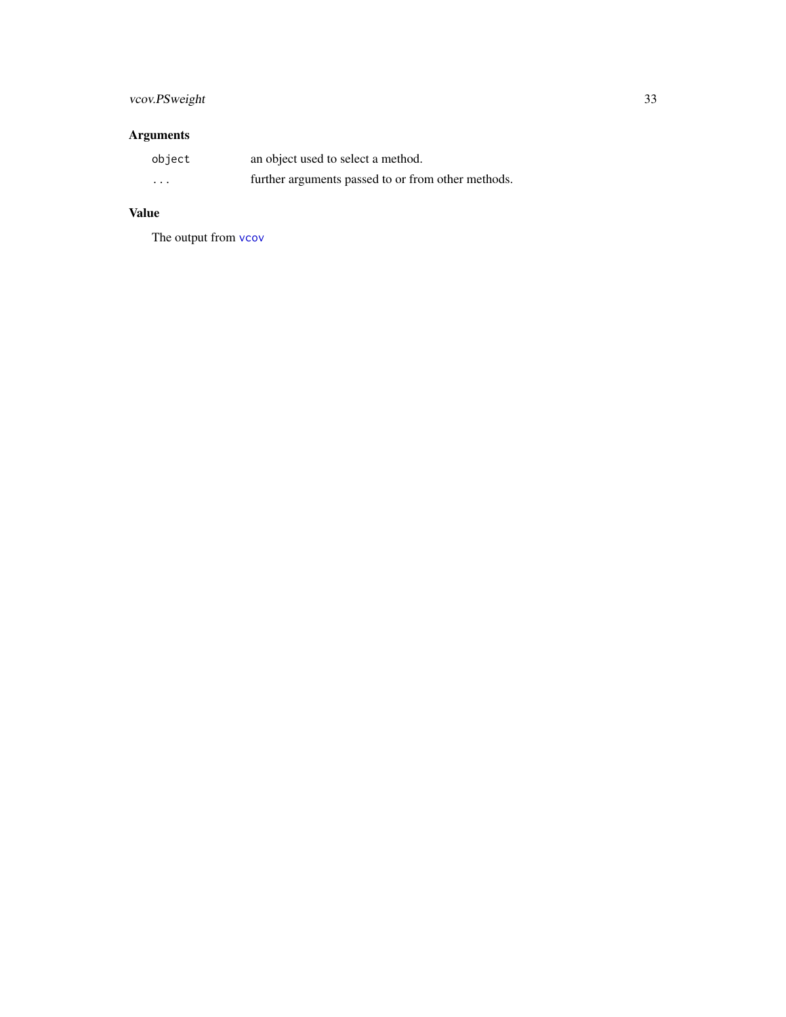### <span id="page-32-0"></span>vcov.PSweight 33

### Arguments

| object                  | an object used to select a method.                 |
|-------------------------|----------------------------------------------------|
| $\cdot$ $\cdot$ $\cdot$ | further arguments passed to or from other methods. |

### Value

The output from [vcov](#page-0-0)